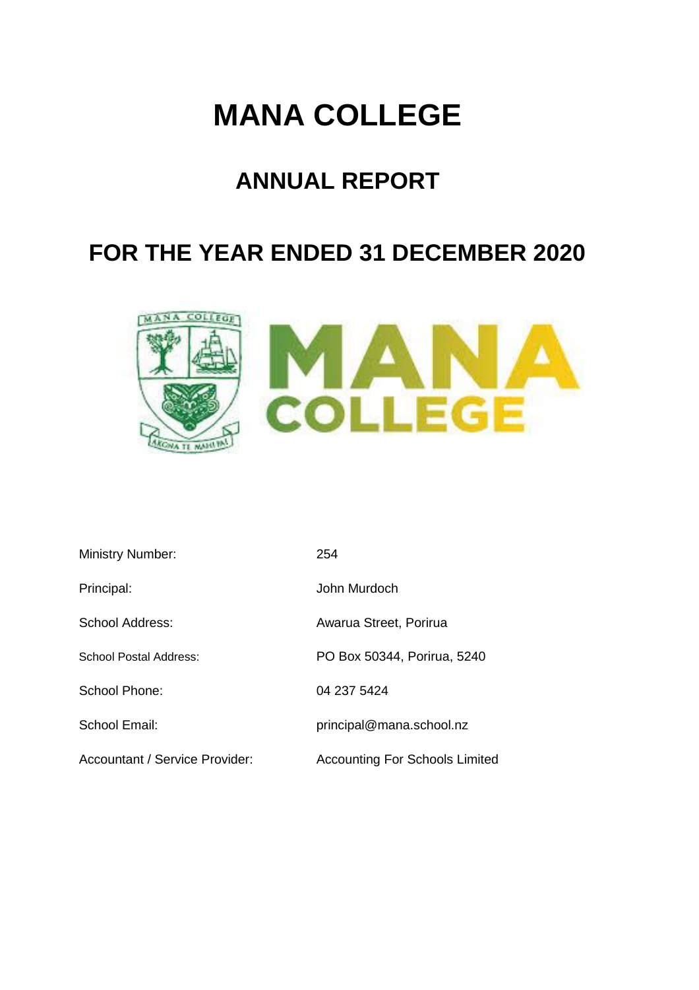# **MANA COLLEGE**

# **ANNUAL REPORT**

# **FOR THE YEAR ENDED 31 DECEMBER 2020**



| <b>Ministry Number:</b>        | 254                                   |
|--------------------------------|---------------------------------------|
| Principal:                     | John Murdoch                          |
| School Address:                | Awarua Street, Porirua                |
| School Postal Address:         | PO Box 50344, Porirua, 5240           |
| School Phone:                  | 04 237 5424                           |
| School Email:                  | principal@mana.school.nz              |
| Accountant / Service Provider: | <b>Accounting For Schools Limited</b> |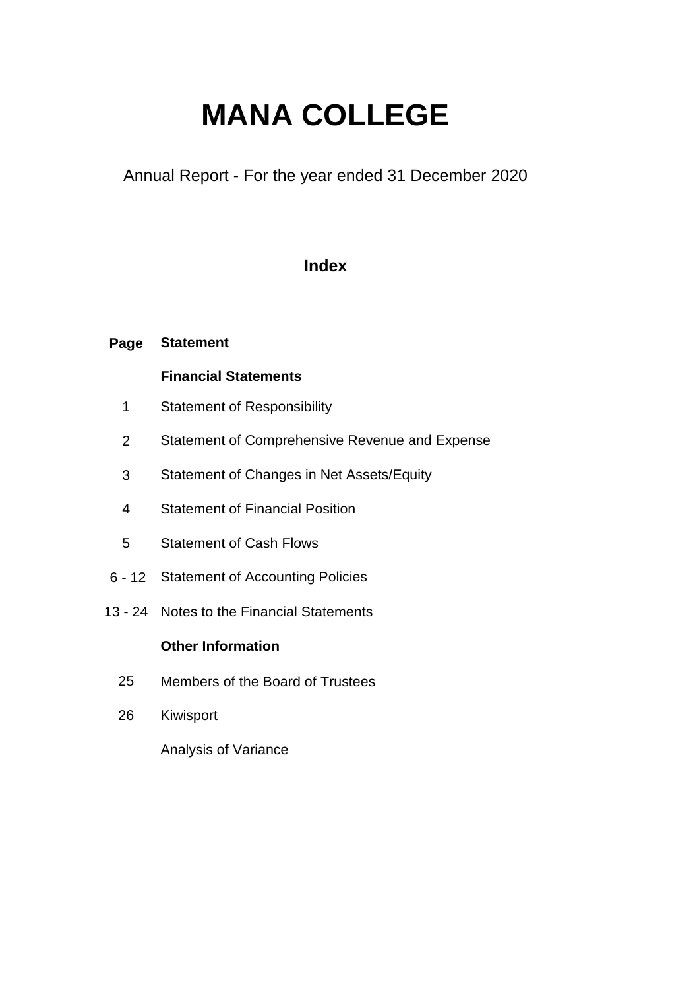# **MANA COLLEGE**

Annual Report - For the year ended 31 December 2020

### **Index**

#### **Page Statement**

### **Financial Statements**

- 1 Statement of Responsibility
- 2 Statement of Comprehensive Revenue and Expense
- 3 Statement of Changes in Net Assets/Equity
- 4 Statement of Financial Position
- 5 Statement of Cash Flows
- 6 12 Statement of Accounting Policies
- 13 24 Notes to the Financial Statements

#### **Other Information**

- 25 Members of the Board of Trustees
- 26 Kiwisport

Analysis of Variance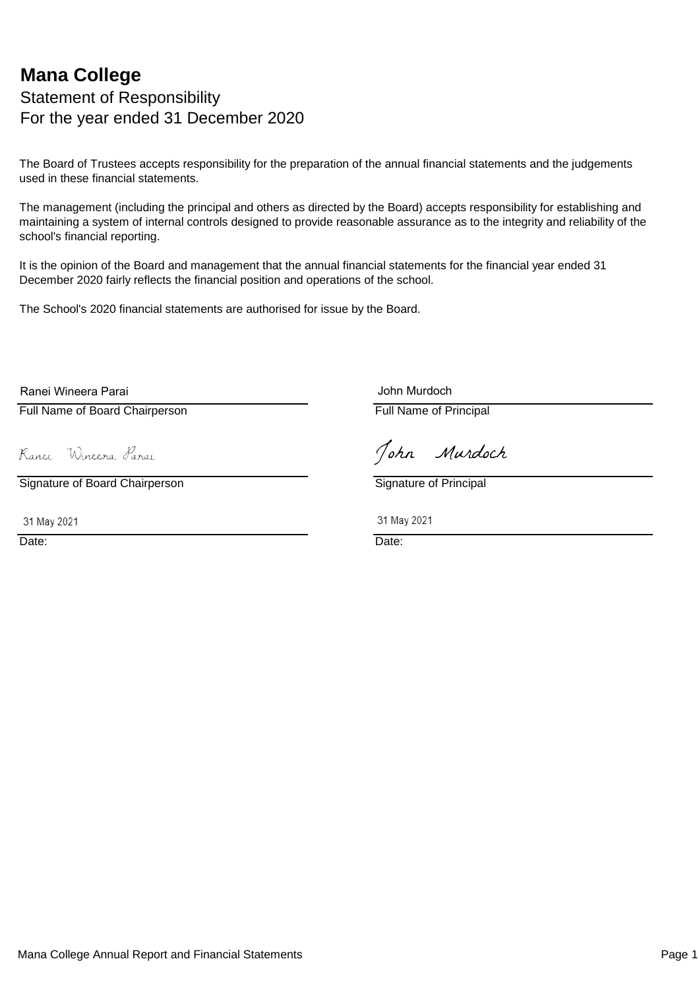### **Mana College** Statement of Responsibility For the year ended 31 December 2020

The Board of Trustees accepts responsibility for the preparation of the annual financial statements and the judgements used in these financial statements.

The management (including the principal and others as directed by the Board) accepts responsibility for establishing and maintaining a system of internal controls designed to provide reasonable assurance as to the integrity and reliability of the school's financial reporting.

It is the opinion of the Board and management that the annual financial statements for the financial year ended 31 December 2020 fairly reflects the financial position and operations of the school.

The School's 2020 financial statements are authorised for issue by the Board.

Ranei Wineera Parai

Full Name of Board Chairperson **Full Name of Principal** 

John Murdoch

Ranei Wineera Parai

Signature of Board Chairperson Signature of Principal

31 May 2021 2021 2021

John Murdoch

Date: **Date: Date: Date: Date: Date: Date: Date: Date: Date: Date: Date: Date: Date: Date: Date: Date: Date: Date: Date: Date: Date: Date: Date: Date: Date: Date: Date:**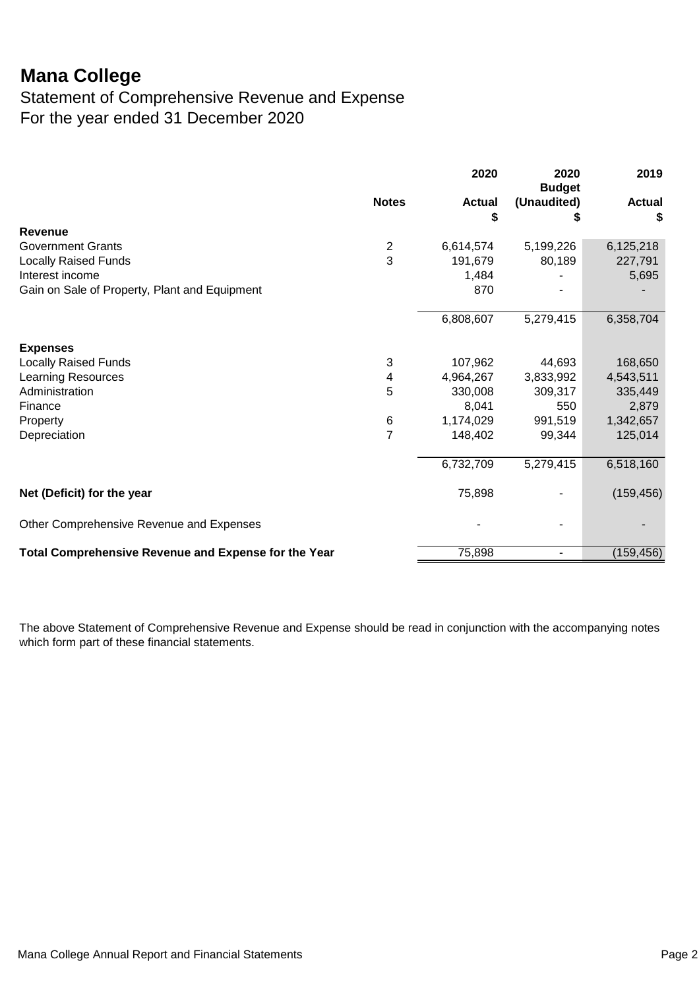### Statement of Comprehensive Revenue and Expense For the year ended 31 December 2020

|                                                      |                | 2020                | 2020<br><b>Budget</b> | 2019                |
|------------------------------------------------------|----------------|---------------------|-----------------------|---------------------|
|                                                      | <b>Notes</b>   | <b>Actual</b><br>\$ | (Unaudited)<br>S      | <b>Actual</b><br>\$ |
| <b>Revenue</b>                                       |                |                     |                       |                     |
| <b>Government Grants</b>                             | $\overline{2}$ | 6,614,574           | 5,199,226             | 6,125,218           |
| <b>Locally Raised Funds</b>                          | 3              | 191,679             | 80,189                | 227,791             |
| Interest income                                      |                | 1,484               |                       | 5,695               |
| Gain on Sale of Property, Plant and Equipment        |                | 870                 |                       |                     |
|                                                      |                | 6,808,607           | 5,279,415             | 6,358,704           |
| <b>Expenses</b>                                      |                |                     |                       |                     |
| <b>Locally Raised Funds</b>                          | 3              | 107,962             | 44,693                | 168,650             |
| <b>Learning Resources</b>                            | 4              | 4,964,267           | 3,833,992             | 4,543,511           |
| Administration                                       | 5              | 330,008             | 309,317               | 335,449             |
| Finance                                              |                | 8,041               | 550                   | 2,879               |
| Property                                             | 6              | 1,174,029           | 991,519               | 1,342,657           |
| Depreciation                                         | $\overline{7}$ | 148,402             | 99,344                | 125,014             |
|                                                      |                | 6,732,709           | 5,279,415             | 6,518,160           |
| Net (Deficit) for the year                           |                | 75,898              |                       | (159, 456)          |
| Other Comprehensive Revenue and Expenses             |                |                     |                       |                     |
| Total Comprehensive Revenue and Expense for the Year |                | 75,898              |                       | (159, 456)          |

The above Statement of Comprehensive Revenue and Expense should be read in conjunction with the accompanying notes which form part of these financial statements.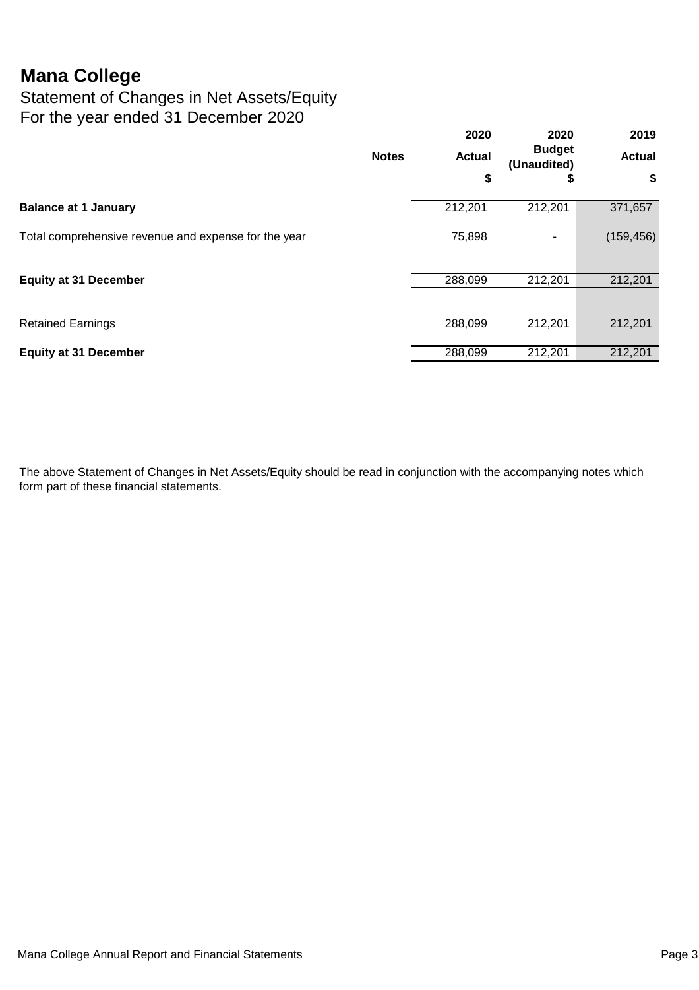Statement of Changes in Net Assets/Equity For the year ended 31 December 2020

|                                                      |              | 2020<br><b>Actual</b> | 2020<br><b>Budget</b><br>(Unaudited) | 2019<br><b>Actual</b> |
|------------------------------------------------------|--------------|-----------------------|--------------------------------------|-----------------------|
|                                                      | <b>Notes</b> |                       |                                      |                       |
|                                                      |              | \$                    | Ð                                    | \$                    |
| <b>Balance at 1 January</b>                          |              | 212,201               | 212,201                              | 371,657               |
| Total comprehensive revenue and expense for the year |              | 75,898                | ۰                                    | (159, 456)            |
| <b>Equity at 31 December</b>                         |              | 288,099               | 212,201                              | 212,201               |
| <b>Retained Earnings</b>                             |              | 288,099               | 212,201                              | 212,201               |
| <b>Equity at 31 December</b>                         |              | 288,099               | 212,201                              | 212,201               |

The above Statement of Changes in Net Assets/Equity should be read in conjunction with the accompanying notes which form part of these financial statements.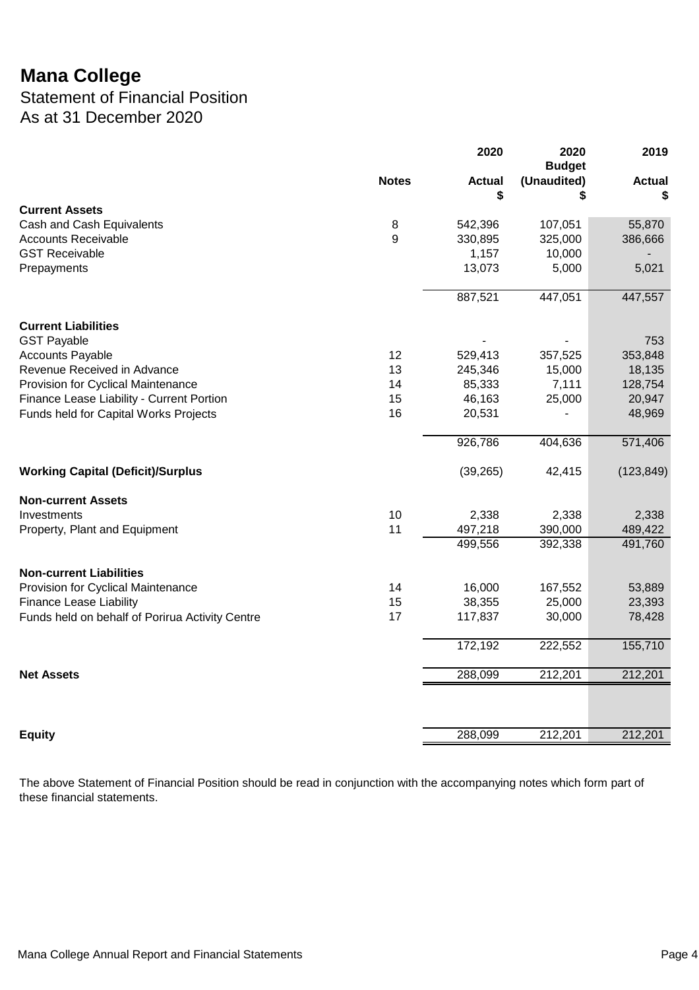Statement of Financial Position As at 31 December 2020

|                                                 |              | 2020                | 2020<br><b>Budget</b> | 2019                |
|-------------------------------------------------|--------------|---------------------|-----------------------|---------------------|
|                                                 | <b>Notes</b> | <b>Actual</b><br>\$ | (Unaudited)<br>S      | <b>Actual</b><br>\$ |
| <b>Current Assets</b>                           |              |                     |                       |                     |
| Cash and Cash Equivalents                       | 8            | 542,396             | 107,051               | 55,870              |
| <b>Accounts Receivable</b>                      | 9            | 330,895             | 325,000               | 386,666             |
| <b>GST Receivable</b>                           |              | 1,157               | 10,000                |                     |
| Prepayments                                     |              | 13,073              | 5,000                 | 5,021               |
|                                                 |              | 887,521             | 447,051               | 447,557             |
| <b>Current Liabilities</b>                      |              |                     |                       |                     |
| <b>GST Payable</b>                              |              |                     |                       | 753                 |
| <b>Accounts Payable</b>                         | 12           | 529,413             | 357,525               | 353,848             |
| Revenue Received in Advance                     | 13           | 245,346             | 15,000                | 18,135              |
| Provision for Cyclical Maintenance              | 14           | 85,333              | 7,111                 | 128,754             |
| Finance Lease Liability - Current Portion       | 15           | 46,163              | 25,000                | 20,947              |
| Funds held for Capital Works Projects           | 16           | 20,531              |                       | 48,969              |
|                                                 |              | 926,786             | 404,636               | 571,406             |
| <b>Working Capital (Deficit)/Surplus</b>        |              | (39, 265)           | 42,415                | (123, 849)          |
| <b>Non-current Assets</b>                       |              |                     |                       |                     |
| Investments                                     | 10           | 2,338               | 2,338                 | 2,338               |
| Property, Plant and Equipment                   | 11           | 497,218             | 390,000               | 489,422             |
|                                                 |              | 499,556             | 392,338               | 491,760             |
| <b>Non-current Liabilities</b>                  |              |                     |                       |                     |
| Provision for Cyclical Maintenance              | 14           | 16,000              | 167,552               | 53,889              |
| <b>Finance Lease Liability</b>                  | 15           | 38,355              | 25,000                | 23,393              |
| Funds held on behalf of Porirua Activity Centre | 17           | 117,837             | 30,000                | 78,428              |
|                                                 |              | 172,192             | 222,552               | 155,710             |
| <b>Net Assets</b>                               |              | 288,099             | 212,201               | 212,201             |
|                                                 |              |                     |                       |                     |
| <b>Equity</b>                                   |              | 288,099             | 212,201               | 212,201             |

The above Statement of Financial Position should be read in conjunction with the accompanying notes which form part of these financial statements.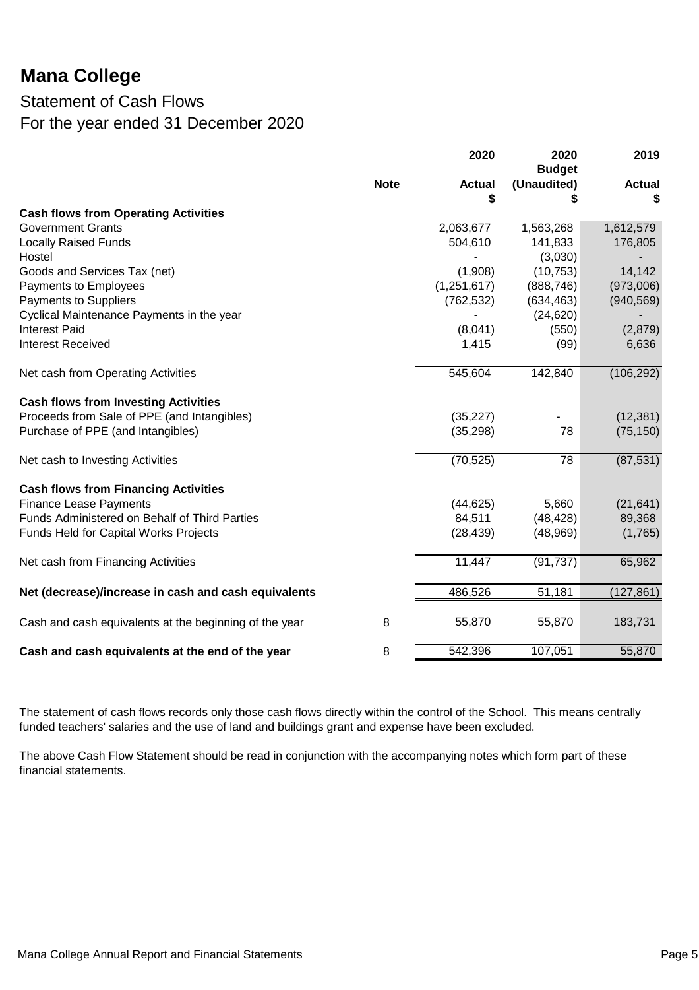### Statement of Cash Flows For the year ended 31 December 2020

|                                                        |             | 2020                | 2020<br><b>Budget</b> | 2019               |
|--------------------------------------------------------|-------------|---------------------|-----------------------|--------------------|
|                                                        | <b>Note</b> | <b>Actual</b><br>\$ | (Unaudited)<br>S      | <b>Actual</b><br>S |
| <b>Cash flows from Operating Activities</b>            |             |                     |                       |                    |
| <b>Government Grants</b>                               |             | 2,063,677           | 1,563,268             | 1,612,579          |
| <b>Locally Raised Funds</b>                            |             | 504,610             | 141,833               | 176,805            |
| Hostel                                                 |             |                     | (3,030)               |                    |
| Goods and Services Tax (net)                           |             | (1,908)             | (10, 753)             | 14,142             |
| Payments to Employees                                  |             | (1,251,617)         | (888, 746)            | (973,006)          |
| <b>Payments to Suppliers</b>                           |             | (762, 532)          | (634, 463)            | (940, 569)         |
| Cyclical Maintenance Payments in the year              |             |                     | (24, 620)             |                    |
| <b>Interest Paid</b>                                   |             | (8,041)             | (550)                 | (2,879)            |
| <b>Interest Received</b>                               |             | 1,415               | (99)                  | 6,636              |
| Net cash from Operating Activities                     |             | 545,604             | 142,840               | (106, 292)         |
| <b>Cash flows from Investing Activities</b>            |             |                     |                       |                    |
| Proceeds from Sale of PPE (and Intangibles)            |             | (35, 227)           |                       | (12, 381)          |
| Purchase of PPE (and Intangibles)                      |             | (35, 298)           | 78                    | (75, 150)          |
| Net cash to Investing Activities                       |             | (70, 525)           | 78                    | (87, 531)          |
| <b>Cash flows from Financing Activities</b>            |             |                     |                       |                    |
| <b>Finance Lease Payments</b>                          |             | (44, 625)           | 5,660                 | (21, 641)          |
| Funds Administered on Behalf of Third Parties          |             | 84,511              | (48, 428)             | 89,368             |
| <b>Funds Held for Capital Works Projects</b>           |             | (28, 439)           | (48,969)              | (1,765)            |
| Net cash from Financing Activities                     |             | 11,447              | (91, 737)             | 65,962             |
| Net (decrease)/increase in cash and cash equivalents   |             | 486,526             | 51,181                | (127, 861)         |
| Cash and cash equivalents at the beginning of the year | 8           | 55,870              | 55,870                | 183,731            |
| Cash and cash equivalents at the end of the year       | 8           | 542,396             | 107,051               | 55,870             |

The statement of cash flows records only those cash flows directly within the control of the School. This means centrally funded teachers' salaries and the use of land and buildings grant and expense have been excluded.

The above Cash Flow Statement should be read in conjunction with the accompanying notes which form part of these financial statements.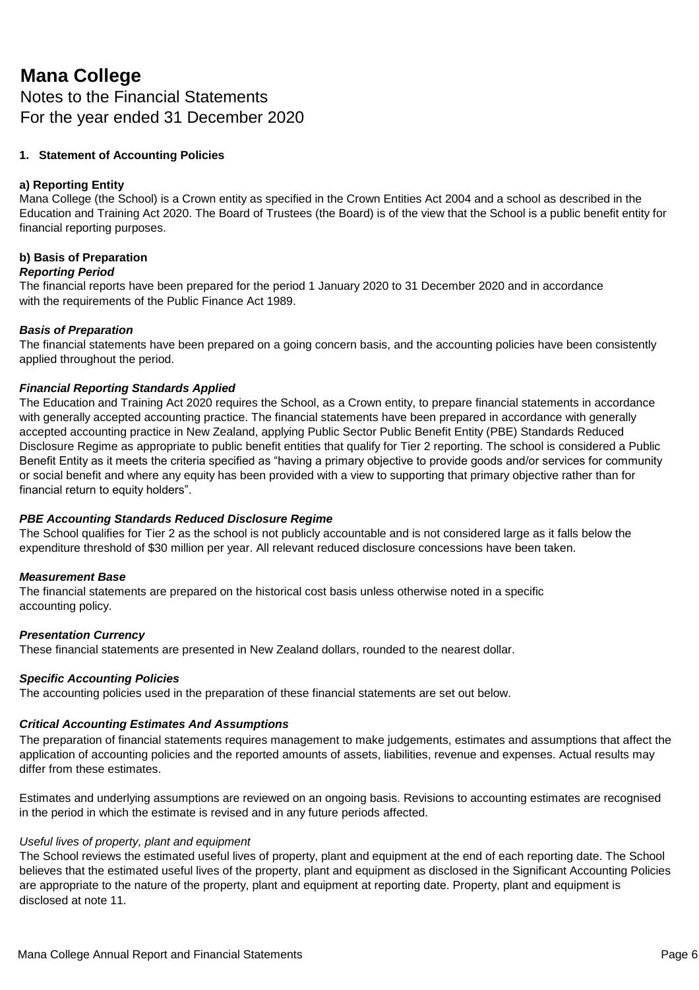Notes to the Financial Statements For the year ended 31 December 2020

#### **1. Statement of Accounting Policies**

#### **a) Reporting Entity**

Mana College (the School) is a Crown entity as specified in the Crown Entities Act 2004 and a school as described in the Education and Training Act 2020. The Board of Trustees (the Board) is of the view that the School is a public benefit entity for financial reporting purposes.

#### **b) Basis of Preparation**

#### *Reporting Period*

The financial reports have been prepared for the period 1 January 2020 to 31 December 2020 and in accordance with the requirements of the Public Finance Act 1989.

#### *Basis of Preparation*

The financial statements have been prepared on a going concern basis, and the accounting policies have been consistently applied throughout the period.

#### *Financial Reporting Standards Applied*

The Education and Training Act 2020 requires the School, as a Crown entity, to prepare financial statements in accordance with generally accepted accounting practice. The financial statements have been prepared in accordance with generally accepted accounting practice in New Zealand, applying Public Sector Public Benefit Entity (PBE) Standards Reduced Disclosure Regime as appropriate to public benefit entities that qualify for Tier 2 reporting. The school is considered a Public Benefit Entity as it meets the criteria specified as "having a primary objective to provide goods and/or services for community or social benefit and where any equity has been provided with a view to supporting that primary objective rather than for financial return to equity holders".

#### *PBE Accounting Standards Reduced Disclosure Regime*

The School qualifies for Tier 2 as the school is not publicly accountable and is not considered large as it falls below the expenditure threshold of \$30 million per year. All relevant reduced disclosure concessions have been taken.

#### *Measurement Base*

The financial statements are prepared on the historical cost basis unless otherwise noted in a specific accounting policy.

#### *Presentation Currency*

These financial statements are presented in New Zealand dollars, rounded to the nearest dollar.

#### *Specific Accounting Policies*

The accounting policies used in the preparation of these financial statements are set out below.

#### *Critical Accounting Estimates And Assumptions*

The preparation of financial statements requires management to make judgements, estimates and assumptions that affect the application of accounting policies and the reported amounts of assets, liabilities, revenue and expenses. Actual results may differ from these estimates.

Estimates and underlying assumptions are reviewed on an ongoing basis. Revisions to accounting estimates are recognised in the period in which the estimate is revised and in any future periods affected.

#### *Useful lives of property, plant and equipment*

The School reviews the estimated useful lives of property, plant and equipment at the end of each reporting date. The School believes that the estimated useful lives of the property, plant and equipment as disclosed in the Significant Accounting Policies are appropriate to the nature of the property, plant and equipment at reporting date. Property, plant and equipment is disclosed at note 11.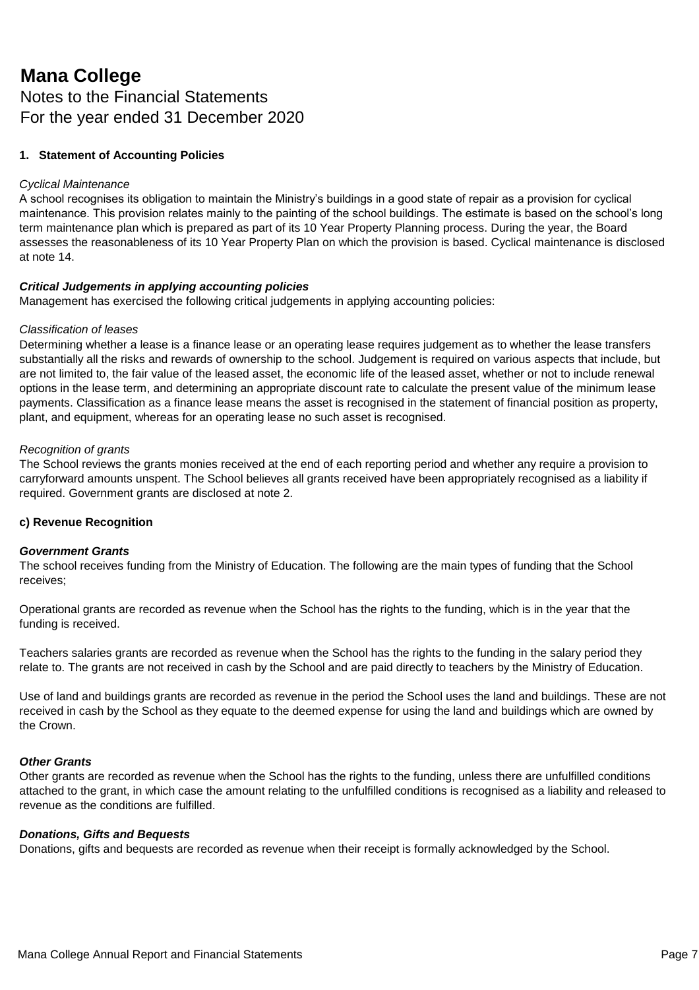### Notes to the Financial Statements For the year ended 31 December 2020

### **1. Statement of Accounting Policies**

#### *Cyclical Maintenance*

A school recognises its obligation to maintain the Ministry's buildings in a good state of repair as a provision for cyclical maintenance. This provision relates mainly to the painting of the school buildings. The estimate is based on the school's long term maintenance plan which is prepared as part of its 10 Year Property Planning process. During the year, the Board assesses the reasonableness of its 10 Year Property Plan on which the provision is based. Cyclical maintenance is disclosed at note 14.

#### *Critical Judgements in applying accounting policies*

Management has exercised the following critical judgements in applying accounting policies:

#### *Classification of leases*

Determining whether a lease is a finance lease or an operating lease requires judgement as to whether the lease transfers substantially all the risks and rewards of ownership to the school. Judgement is required on various aspects that include, but are not limited to, the fair value of the leased asset, the economic life of the leased asset, whether or not to include renewal options in the lease term, and determining an appropriate discount rate to calculate the present value of the minimum lease payments. Classification as a finance lease means the asset is recognised in the statement of financial position as property, plant, and equipment, whereas for an operating lease no such asset is recognised.

#### *Recognition of grants*

The School reviews the grants monies received at the end of each reporting period and whether any require a provision to carryforward amounts unspent. The School believes all grants received have been appropriately recognised as a liability if required. Government grants are disclosed at note 2.

#### **c) Revenue Recognition**

#### *Government Grants*

The school receives funding from the Ministry of Education. The following are the main types of funding that the School receives;

Operational grants are recorded as revenue when the School has the rights to the funding, which is in the year that the funding is received.

Teachers salaries grants are recorded as revenue when the School has the rights to the funding in the salary period they relate to. The grants are not received in cash by the School and are paid directly to teachers by the Ministry of Education.

Use of land and buildings grants are recorded as revenue in the period the School uses the land and buildings. These are not received in cash by the School as they equate to the deemed expense for using the land and buildings which are owned by the Crown.

#### *Other Grants*

Other grants are recorded as revenue when the School has the rights to the funding, unless there are unfulfilled conditions attached to the grant, in which case the amount relating to the unfulfilled conditions is recognised as a liability and released to revenue as the conditions are fulfilled.

#### *Donations, Gifts and Bequests*

Donations, gifts and bequests are recorded as revenue when their receipt is formally acknowledged by the School.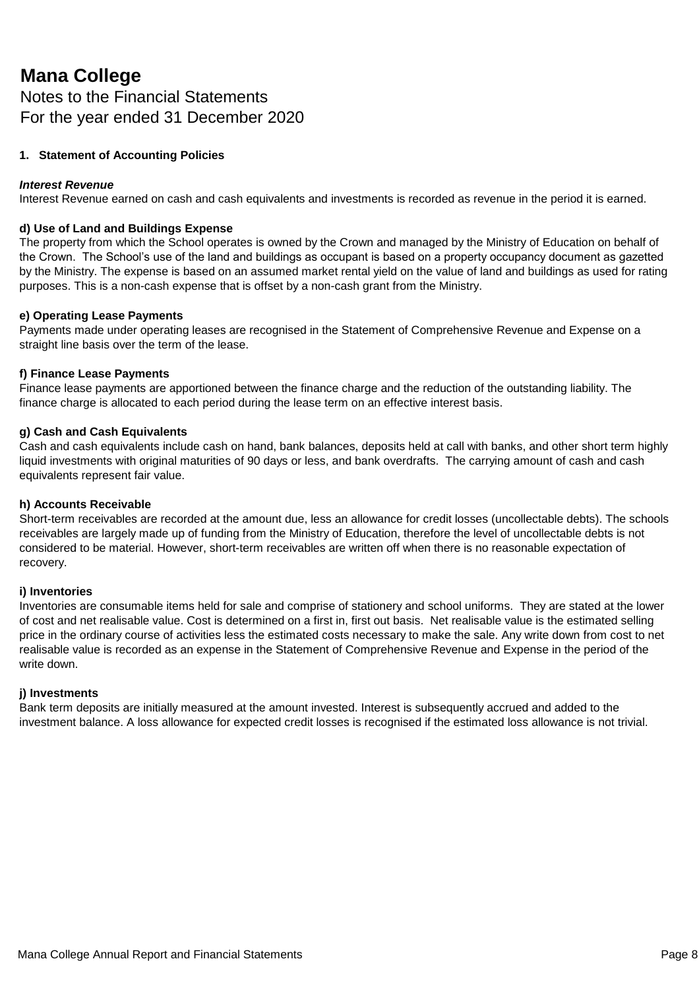Notes to the Financial Statements For the year ended 31 December 2020

#### **1. Statement of Accounting Policies**

#### *Interest Revenue*

Interest Revenue earned on cash and cash equivalents and investments is recorded as revenue in the period it is earned.

#### **d) Use of Land and Buildings Expense**

The property from which the School operates is owned by the Crown and managed by the Ministry of Education on behalf of the Crown. The School's use of the land and buildings as occupant is based on a property occupancy document as gazetted by the Ministry. The expense is based on an assumed market rental yield on the value of land and buildings as used for rating purposes. This is a non-cash expense that is offset by a non-cash grant from the Ministry.

#### **e) Operating Lease Payments**

Payments made under operating leases are recognised in the Statement of Comprehensive Revenue and Expense on a straight line basis over the term of the lease.

#### **f) Finance Lease Payments**

Finance lease payments are apportioned between the finance charge and the reduction of the outstanding liability. The finance charge is allocated to each period during the lease term on an effective interest basis.

#### **g) Cash and Cash Equivalents**

Cash and cash equivalents include cash on hand, bank balances, deposits held at call with banks, and other short term highly liquid investments with original maturities of 90 days or less, and bank overdrafts. The carrying amount of cash and cash equivalents represent fair value.

#### **h) Accounts Receivable**

Short-term receivables are recorded at the amount due, less an allowance for credit losses (uncollectable debts). The schools receivables are largely made up of funding from the Ministry of Education, therefore the level of uncollectable debts is not considered to be material. However, short-term receivables are written off when there is no reasonable expectation of recovery.

#### **i) Inventories**

Inventories are consumable items held for sale and comprise of stationery and school uniforms. They are stated at the lower of cost and net realisable value. Cost is determined on a first in, first out basis. Net realisable value is the estimated selling price in the ordinary course of activities less the estimated costs necessary to make the sale. Any write down from cost to net realisable value is recorded as an expense in the Statement of Comprehensive Revenue and Expense in the period of the write down.

#### **j) Investments**

Bank term deposits are initially measured at the amount invested. Interest is subsequently accrued and added to the investment balance. A loss allowance for expected credit losses is recognised if the estimated loss allowance is not trivial.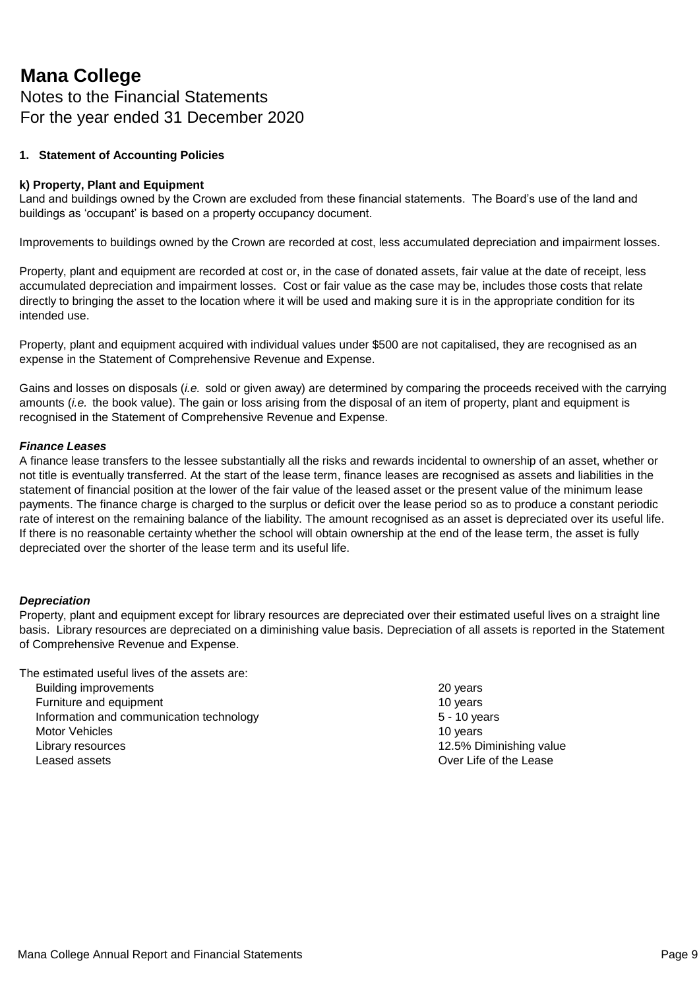### Notes to the Financial Statements For the year ended 31 December 2020

#### **1. Statement of Accounting Policies**

#### **k) Property, Plant and Equipment**

Land and buildings owned by the Crown are excluded from these financial statements. The Board's use of the land and buildings as 'occupant' is based on a property occupancy document.

Improvements to buildings owned by the Crown are recorded at cost, less accumulated depreciation and impairment losses.

Property, plant and equipment are recorded at cost or, in the case of donated assets, fair value at the date of receipt, less accumulated depreciation and impairment losses. Cost or fair value as the case may be, includes those costs that relate directly to bringing the asset to the location where it will be used and making sure it is in the appropriate condition for its intended use.

Property, plant and equipment acquired with individual values under \$500 are not capitalised, they are recognised as an expense in the Statement of Comprehensive Revenue and Expense.

Gains and losses on disposals (*i.e.* sold or given away) are determined by comparing the proceeds received with the carrying amounts (*i.e.* the book value). The gain or loss arising from the disposal of an item of property, plant and equipment is recognised in the Statement of Comprehensive Revenue and Expense.

#### *Finance Leases*

A finance lease transfers to the lessee substantially all the risks and rewards incidental to ownership of an asset, whether or not title is eventually transferred. At the start of the lease term, finance leases are recognised as assets and liabilities in the statement of financial position at the lower of the fair value of the leased asset or the present value of the minimum lease payments. The finance charge is charged to the surplus or deficit over the lease period so as to produce a constant periodic rate of interest on the remaining balance of the liability. The amount recognised as an asset is depreciated over its useful life. If there is no reasonable certainty whether the school will obtain ownership at the end of the lease term, the asset is fully depreciated over the shorter of the lease term and its useful life.

#### *Depreciation*

Property, plant and equipment except for library resources are depreciated over their estimated useful lives on a straight line basis. Library resources are depreciated on a diminishing value basis. Depreciation of all assets is reported in the Statement of Comprehensive Revenue and Expense.

The estimated useful lives of the assets are:

- Building improvements **20 years** 20 years Furniture and equipment **10** years 10 years 10 years 10 years Information and communication technology 5 - 10 years Motor Vehicles **10** years 10 years 10 years 10 years 10 years 10 years 10 years 10 years 10 years 10 years 10 years 10 years 10 years 10 years 10 years 10 years 10 years 10 years 10 years 10 years 10 years 10 years 10 year Library resources 12.5% Diminishing value Leased assets Over Life of the Lease
	-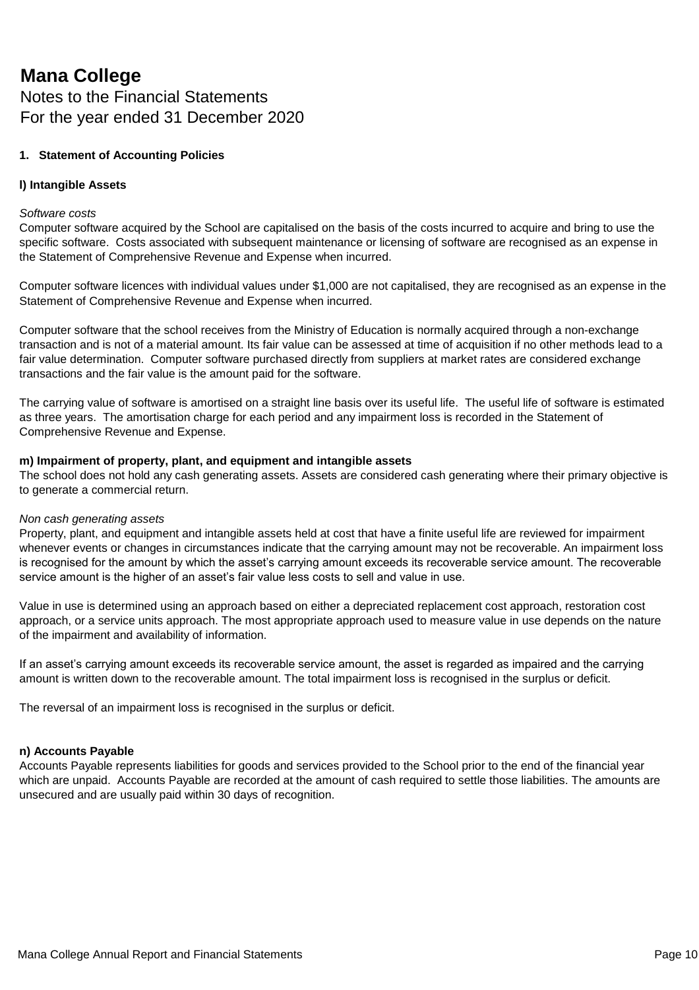### **Mana College** Notes to the Financial Statements For the year ended 31 December 2020

#### **1. Statement of Accounting Policies**

#### **l) Intangible Assets**

#### *Software costs*

Computer software acquired by the School are capitalised on the basis of the costs incurred to acquire and bring to use the specific software. Costs associated with subsequent maintenance or licensing of software are recognised as an expense in the Statement of Comprehensive Revenue and Expense when incurred.

Computer software licences with individual values under \$1,000 are not capitalised, they are recognised as an expense in the Statement of Comprehensive Revenue and Expense when incurred.

Computer software that the school receives from the Ministry of Education is normally acquired through a non-exchange transaction and is not of a material amount. Its fair value can be assessed at time of acquisition if no other methods lead to a fair value determination. Computer software purchased directly from suppliers at market rates are considered exchange transactions and the fair value is the amount paid for the software.

The carrying value of software is amortised on a straight line basis over its useful life. The useful life of software is estimated as three years. The amortisation charge for each period and any impairment loss is recorded in the Statement of Comprehensive Revenue and Expense.

#### **m) Impairment of property, plant, and equipment and intangible assets**

The school does not hold any cash generating assets. Assets are considered cash generating where their primary objective is to generate a commercial return.

#### *Non cash generating assets*

Property, plant, and equipment and intangible assets held at cost that have a finite useful life are reviewed for impairment whenever events or changes in circumstances indicate that the carrying amount may not be recoverable. An impairment loss is recognised for the amount by which the asset's carrying amount exceeds its recoverable service amount. The recoverable service amount is the higher of an asset's fair value less costs to sell and value in use.

Value in use is determined using an approach based on either a depreciated replacement cost approach, restoration cost approach, or a service units approach. The most appropriate approach used to measure value in use depends on the nature of the impairment and availability of information.

If an asset's carrying amount exceeds its recoverable service amount, the asset is regarded as impaired and the carrying amount is written down to the recoverable amount. The total impairment loss is recognised in the surplus or deficit.

The reversal of an impairment loss is recognised in the surplus or deficit.

#### **n) Accounts Payable**

Accounts Payable represents liabilities for goods and services provided to the School prior to the end of the financial year which are unpaid. Accounts Payable are recorded at the amount of cash required to settle those liabilities. The amounts are unsecured and are usually paid within 30 days of recognition.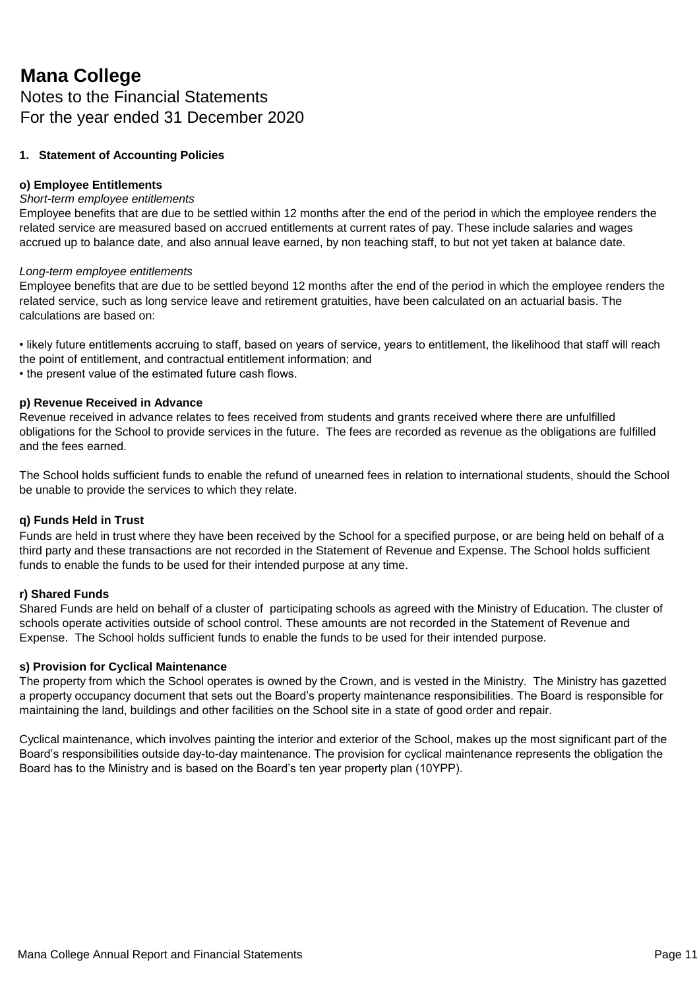### Notes to the Financial Statements For the year ended 31 December 2020

#### **1. Statement of Accounting Policies**

#### **o) Employee Entitlements**

#### *Short-term employee entitlements*

Employee benefits that are due to be settled within 12 months after the end of the period in which the employee renders the related service are measured based on accrued entitlements at current rates of pay. These include salaries and wages accrued up to balance date, and also annual leave earned, by non teaching staff, to but not yet taken at balance date.

#### *Long-term employee entitlements*

Employee benefits that are due to be settled beyond 12 months after the end of the period in which the employee renders the related service, such as long service leave and retirement gratuities, have been calculated on an actuarial basis. The calculations are based on:

• likely future entitlements accruing to staff, based on years of service, years to entitlement, the likelihood that staff will reach the point of entitlement, and contractual entitlement information; and • the present value of the estimated future cash flows.

#### **p) Revenue Received in Advance**

Revenue received in advance relates to fees received from students and grants received where there are unfulfilled obligations for the School to provide services in the future. The fees are recorded as revenue as the obligations are fulfilled and the fees earned.

The School holds sufficient funds to enable the refund of unearned fees in relation to international students, should the School be unable to provide the services to which they relate.

#### **q) Funds Held in Trust**

Funds are held in trust where they have been received by the School for a specified purpose, or are being held on behalf of a third party and these transactions are not recorded in the Statement of Revenue and Expense. The School holds sufficient funds to enable the funds to be used for their intended purpose at any time.

#### **r) Shared Funds**

Shared Funds are held on behalf of a cluster of participating schools as agreed with the Ministry of Education. The cluster of schools operate activities outside of school control. These amounts are not recorded in the Statement of Revenue and Expense. The School holds sufficient funds to enable the funds to be used for their intended purpose.

#### **s) Provision for Cyclical Maintenance**

The property from which the School operates is owned by the Crown, and is vested in the Ministry. The Ministry has gazetted a property occupancy document that sets out the Board's property maintenance responsibilities. The Board is responsible for maintaining the land, buildings and other facilities on the School site in a state of good order and repair.

Cyclical maintenance, which involves painting the interior and exterior of the School, makes up the most significant part of the Board's responsibilities outside day-to-day maintenance. The provision for cyclical maintenance represents the obligation the Board has to the Ministry and is based on the Board's ten year property plan (10YPP).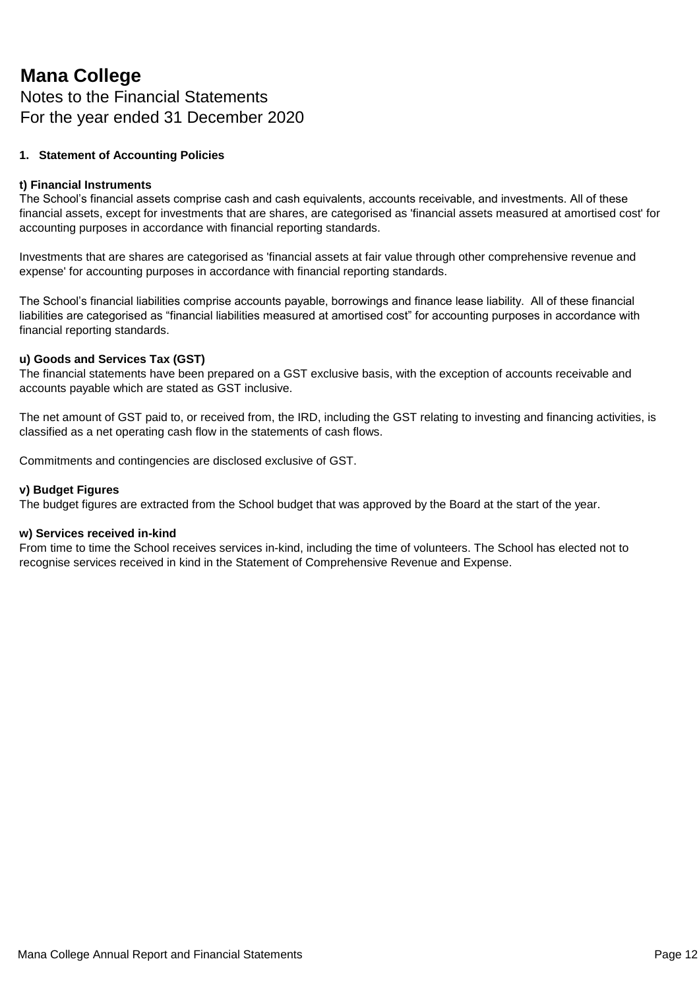### Notes to the Financial Statements For the year ended 31 December 2020

#### **1. Statement of Accounting Policies**

#### **t) Financial Instruments**

The School's financial assets comprise cash and cash equivalents, accounts receivable, and investments. All of these financial assets, except for investments that are shares, are categorised as 'financial assets measured at amortised cost' for accounting purposes in accordance with financial reporting standards.

Investments that are shares are categorised as 'financial assets at fair value through other comprehensive revenue and expense' for accounting purposes in accordance with financial reporting standards.

The School's financial liabilities comprise accounts payable, borrowings and finance lease liability. All of these financial liabilities are categorised as "financial liabilities measured at amortised cost" for accounting purposes in accordance with financial reporting standards.

#### **u) Goods and Services Tax (GST)**

The financial statements have been prepared on a GST exclusive basis, with the exception of accounts receivable and accounts payable which are stated as GST inclusive.

The net amount of GST paid to, or received from, the IRD, including the GST relating to investing and financing activities, is classified as a net operating cash flow in the statements of cash flows.

Commitments and contingencies are disclosed exclusive of GST.

#### **v) Budget Figures**

The budget figures are extracted from the School budget that was approved by the Board at the start of the year.

#### **w) Services received in-kind**

From time to time the School receives services in-kind, including the time of volunteers. The School has elected not to recognise services received in kind in the Statement of Comprehensive Revenue and Expense.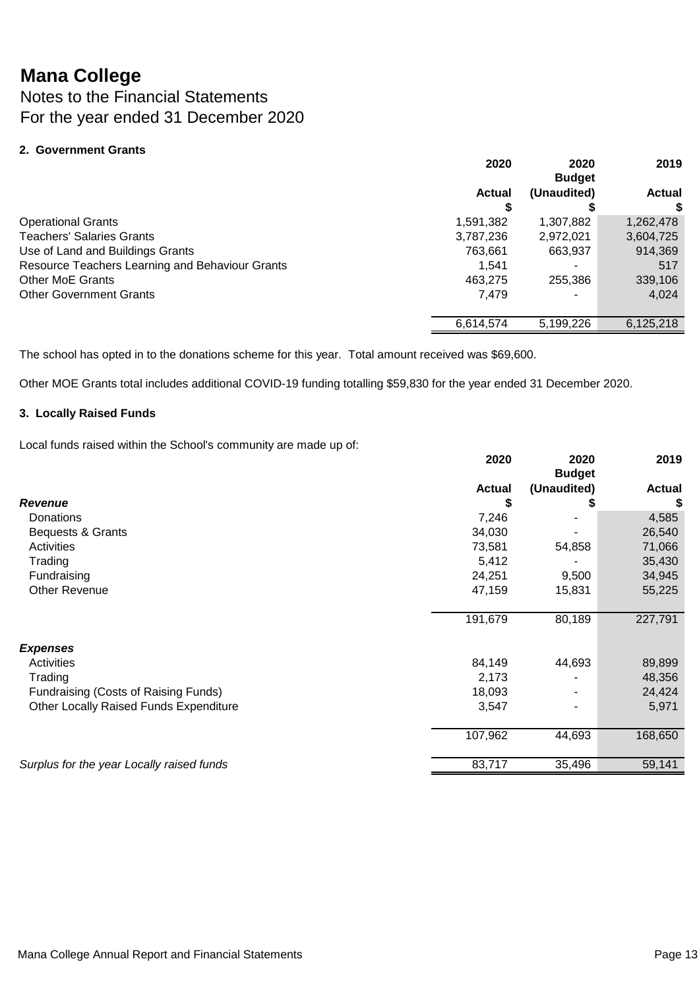Notes to the Financial Statements For the year ended 31 December 2020

#### **2. Government Grants**

| 2020          | 2020<br><b>Budget</b> | 2019          |
|---------------|-----------------------|---------------|
| <b>Actual</b> | (Unaudited)           | <b>Actual</b> |
|               |                       |               |
| 1,591,382     | 1,307,882             | 1,262,478     |
| 3,787,236     | 2,972,021             | 3,604,725     |
| 763,661       | 663,937               | 914,369       |
| 1.541         |                       | 517           |
| 463,275       | 255,386               | 339,106       |
| 7,479         |                       | 4,024         |
|               |                       |               |
| 6,614,574     | 5,199,226             | 6,125,218     |
|               |                       |               |

The school has opted in to the donations scheme for this year. Total amount received was \$69,600.

Other MOE Grants total includes additional COVID-19 funding totalling \$59,830 for the year ended 31 December 2020.

#### **3. Locally Raised Funds**

Local funds raised within the School's community are made up of:

|                                           | 2020          | 2020<br><b>Budget</b> | 2019          |
|-------------------------------------------|---------------|-----------------------|---------------|
|                                           | <b>Actual</b> | (Unaudited)           | <b>Actual</b> |
| Revenue                                   | S             |                       | S             |
| <b>Donations</b>                          | 7,246         |                       | 4,585         |
| Bequests & Grants                         | 34,030        |                       | 26,540        |
| Activities                                | 73,581        | 54,858                | 71,066        |
| Trading                                   | 5,412         |                       | 35,430        |
| Fundraising                               | 24,251        | 9,500                 | 34,945        |
| Other Revenue                             | 47,159        | 15,831                | 55,225        |
|                                           | 191,679       | 80,189                | 227,791       |
| <b>Expenses</b>                           |               |                       |               |
| Activities                                | 84,149        | 44,693                | 89,899        |
| Trading                                   | 2,173         |                       | 48,356        |
| Fundraising (Costs of Raising Funds)      | 18,093        |                       | 24,424        |
| Other Locally Raised Funds Expenditure    | 3,547         |                       | 5,971         |
|                                           | 107,962       | 44,693                | 168,650       |
| Surplus for the year Locally raised funds | 83,717        | 35,496                | 59,141        |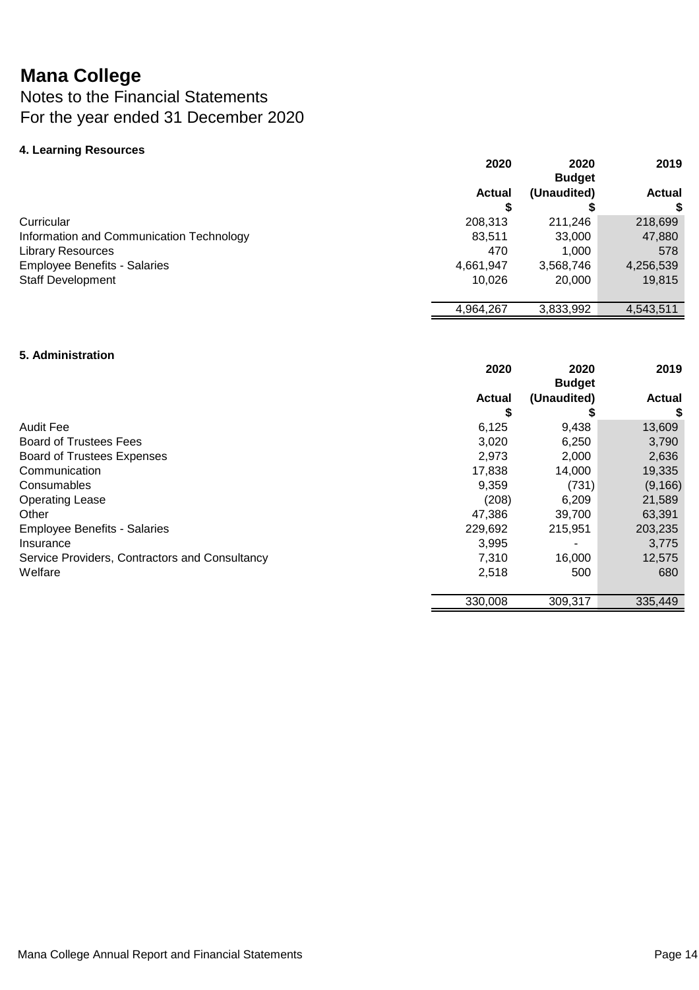### Notes to the Financial Statements For the year ended 31 December 2020

#### **4. Learning Resources**

|                                          | 2020          | 2020<br><b>Budget</b> | 2019          |
|------------------------------------------|---------------|-----------------------|---------------|
|                                          | <b>Actual</b> | (Unaudited)           | <b>Actual</b> |
|                                          |               |                       |               |
| Curricular                               | 208,313       | 211,246               | 218,699       |
| Information and Communication Technology | 83,511        | 33,000                | 47,880        |
| <b>Library Resources</b>                 | 470           | 1,000                 | 578           |
| <b>Employee Benefits - Salaries</b>      | 4,661,947     | 3,568,746             | 4,256,539     |
| <b>Staff Development</b>                 | 10.026        | 20,000                | 19,815        |
|                                          | 4,964,267     | 3,833,992             | 4,543,511     |

#### **5. Administration**

|                                                | 2020          | 2020<br><b>Budget</b> | 2019          |
|------------------------------------------------|---------------|-----------------------|---------------|
|                                                | <b>Actual</b> | (Unaudited)           | <b>Actual</b> |
|                                                | S             |                       | \$            |
| <b>Audit Fee</b>                               | 6,125         | 9,438                 | 13,609        |
| <b>Board of Trustees Fees</b>                  | 3,020         | 6,250                 | 3,790         |
| <b>Board of Trustees Expenses</b>              | 2,973         | 2,000                 | 2,636         |
| Communication                                  | 17,838        | 14,000                | 19,335        |
| Consumables                                    | 9,359         | (731)                 | (9, 166)      |
| <b>Operating Lease</b>                         | (208)         | 6,209                 | 21,589        |
| Other                                          | 47.386        | 39,700                | 63,391        |
| <b>Employee Benefits - Salaries</b>            | 229,692       | 215,951               | 203,235       |
| Insurance                                      | 3,995         |                       | 3,775         |
| Service Providers, Contractors and Consultancy | 7,310         | 16,000                | 12,575        |
| Welfare                                        | 2,518         | 500                   | 680           |
|                                                | 330,008       | 309,317               | 335,449       |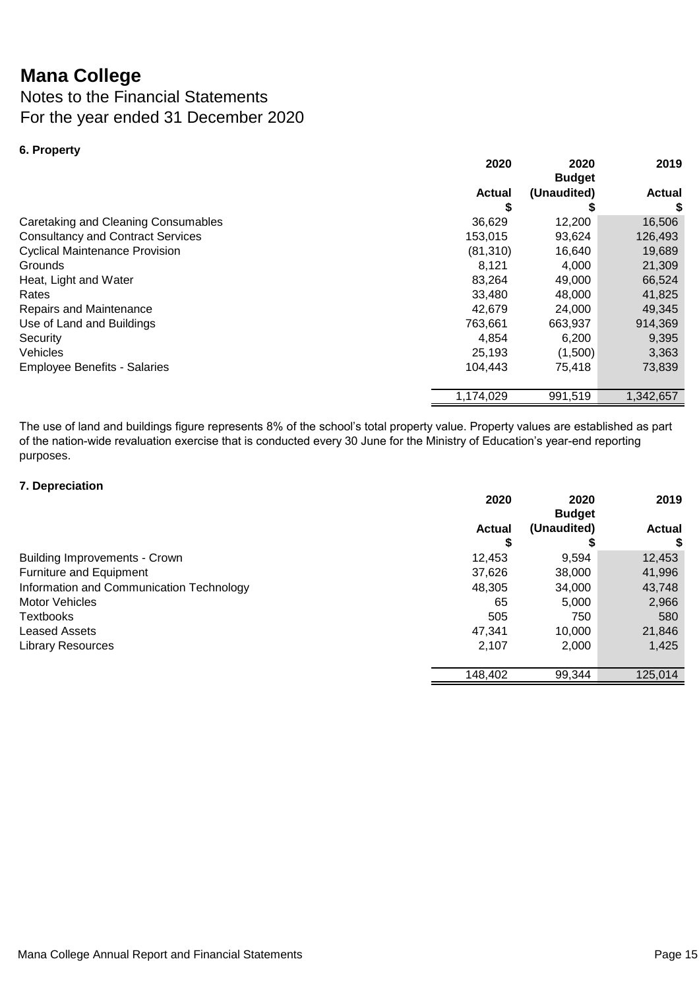### Notes to the Financial Statements For the year ended 31 December 2020

| 6. Property                              |               |                       |           |
|------------------------------------------|---------------|-----------------------|-----------|
|                                          | 2020          | 2020<br><b>Budget</b> | 2019      |
|                                          | <b>Actual</b> | (Unaudited)           | Actual    |
|                                          | \$            |                       | \$        |
| Caretaking and Cleaning Consumables      | 36,629        | 12,200                | 16,506    |
| <b>Consultancy and Contract Services</b> | 153,015       | 93,624                | 126,493   |
| <b>Cyclical Maintenance Provision</b>    | (81, 310)     | 16,640                | 19,689    |
| Grounds                                  | 8,121         | 4,000                 | 21,309    |
| Heat, Light and Water                    | 83,264        | 49,000                | 66,524    |
| Rates                                    | 33,480        | 48,000                | 41,825    |
| Repairs and Maintenance                  | 42,679        | 24,000                | 49,345    |
| Use of Land and Buildings                | 763,661       | 663,937               | 914,369   |
| Security                                 | 4.854         | 6,200                 | 9,395     |
| Vehicles                                 | 25,193        | (1,500)               | 3,363     |
| <b>Employee Benefits - Salaries</b>      | 104.443       | 75,418                | 73,839    |
|                                          | 1,174,029     | 991,519               | 1,342,657 |

The use of land and buildings figure represents 8% of the school's total property value. Property values are established as part of the nation-wide revaluation exercise that is conducted every 30 June for the Ministry of Education's year-end reporting purposes.

#### **7. Depreciation**

|                                          | 2020          | 2020<br><b>Budget</b> | 2019          |
|------------------------------------------|---------------|-----------------------|---------------|
|                                          | <b>Actual</b> | (Unaudited)           | <b>Actual</b> |
|                                          | S             |                       | S             |
| <b>Building Improvements - Crown</b>     | 12,453        | 9,594                 | 12,453        |
| Furniture and Equipment                  | 37,626        | 38,000                | 41,996        |
| Information and Communication Technology | 48,305        | 34,000                | 43,748        |
| <b>Motor Vehicles</b>                    | 65            | 5,000                 | 2,966         |
| <b>Textbooks</b>                         | 505           | 750                   | 580           |
| <b>Leased Assets</b>                     | 47,341        | 10,000                | 21,846        |
| <b>Library Resources</b>                 | 2,107         | 2,000                 | 1,425         |
|                                          |               |                       |               |
|                                          | 148,402       | 99,344                | 125,014       |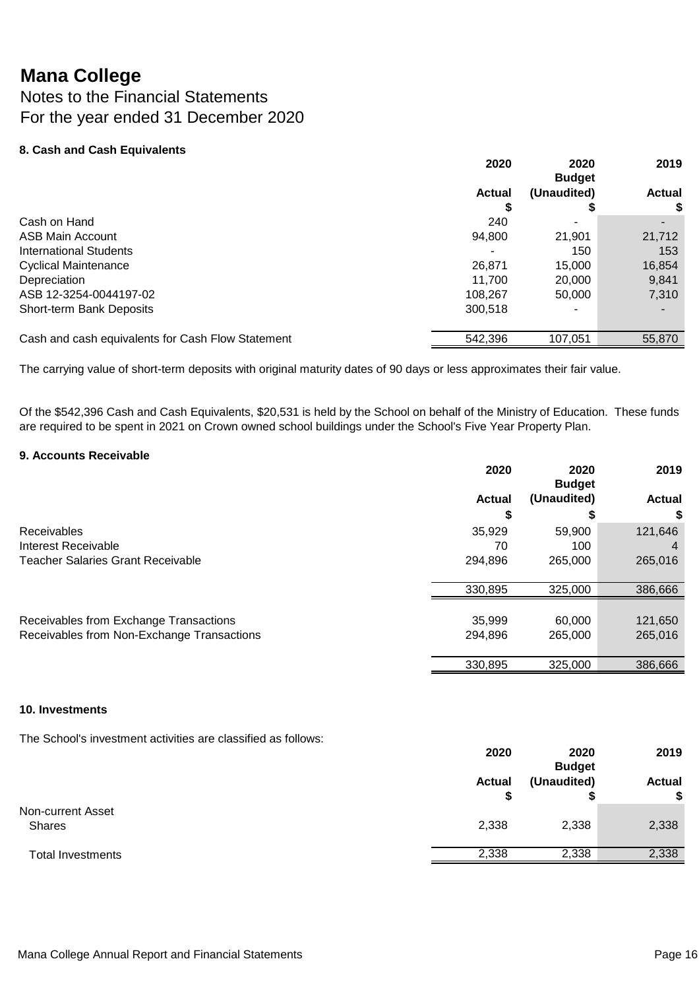Notes to the Financial Statements For the year ended 31 December 2020

#### **8. Cash and Cash Equivalents**

|                                                   | 2020          | 2020<br><b>Budget</b> | 2019          |
|---------------------------------------------------|---------------|-----------------------|---------------|
|                                                   | <b>Actual</b> | (Unaudited)           | <b>Actual</b> |
|                                                   | 5             |                       | S             |
| Cash on Hand                                      | 240           |                       |               |
| ASB Main Account                                  | 94,800        | 21,901                | 21,712        |
| <b>International Students</b>                     |               | 150                   | 153           |
| <b>Cyclical Maintenance</b>                       | 26,871        | 15,000                | 16,854        |
| Depreciation                                      | 11.700        | 20,000                | 9,841         |
| ASB 12-3254-0044197-02                            | 108,267       | 50,000                | 7,310         |
| Short-term Bank Deposits                          | 300,518       | -                     |               |
| Cash and cash equivalents for Cash Flow Statement | 542,396       | 107,051               | 55,870        |

The carrying value of short-term deposits with original maturity dates of 90 days or less approximates their fair value.

Of the \$542,396 Cash and Cash Equivalents, \$20,531 is held by the School on behalf of the Ministry of Education. These funds are required to be spent in 2021 on Crown owned school buildings under the School's Five Year Property Plan.

#### **9. Accounts Receivable**

|                                                                                      | 2020              | 2020<br><b>Budget</b> | 2019               |
|--------------------------------------------------------------------------------------|-------------------|-----------------------|--------------------|
|                                                                                      | <b>Actual</b>     | (Unaudited)           | <b>Actual</b>      |
|                                                                                      | S                 |                       | \$                 |
| <b>Receivables</b>                                                                   | 35,929            | 59,900                | 121,646            |
| Interest Receivable                                                                  | 70                | 100                   |                    |
| <b>Teacher Salaries Grant Receivable</b>                                             | 294,896           | 265,000               | 265,016            |
|                                                                                      | 330,895           | 325,000               | 386,666            |
| Receivables from Exchange Transactions<br>Receivables from Non-Exchange Transactions | 35,999<br>294,896 | 60.000<br>265,000     | 121,650<br>265,016 |
|                                                                                      | 330,895           | 325,000               | 386,666            |
|                                                                                      |                   |                       |                    |

#### **10. Investments**

The School's investment activities are classified as follows:

|                                    | 2020          | 2020<br><b>Budget</b> | 2019                |
|------------------------------------|---------------|-----------------------|---------------------|
|                                    | <b>Actual</b> | (Unaudited)           | <b>Actual</b><br>\$ |
| Non-current Asset<br><b>Shares</b> | 2,338         | 2,338                 | 2,338               |
| <b>Total Investments</b>           | 2,338         | 2,338                 | 2,338               |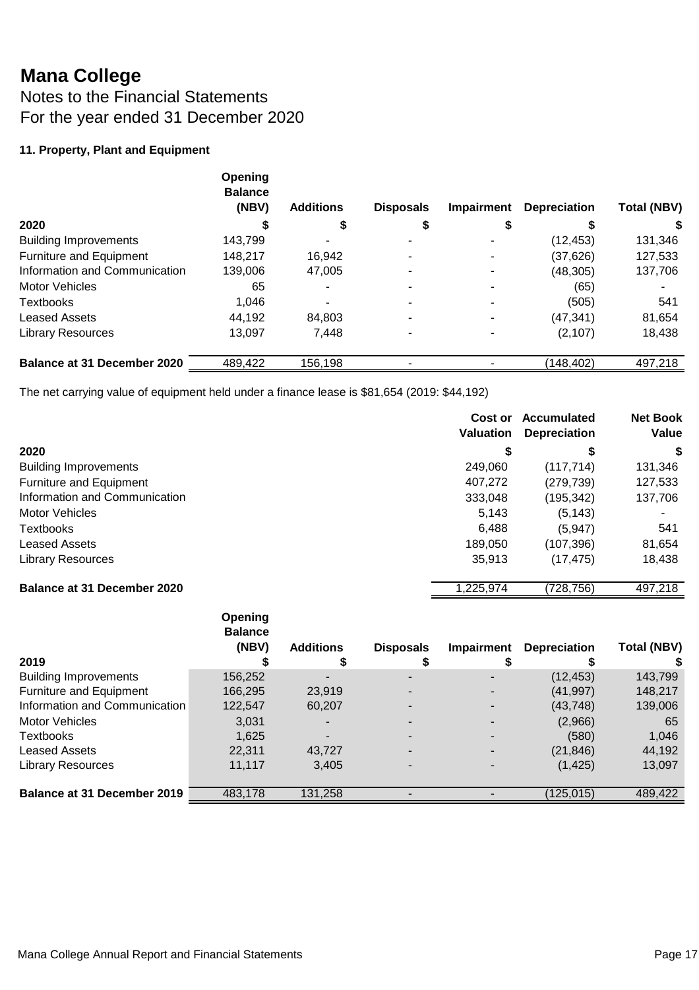Notes to the Financial Statements For the year ended 31 December 2020

### **11. Property, Plant and Equipment**

|                                    | Opening<br><b>Balance</b><br>(NBV) | <b>Additions</b> | <b>Disposals</b> | <b>Impairment</b> | <b>Depreciation</b> | <b>Total (NBV)</b> |
|------------------------------------|------------------------------------|------------------|------------------|-------------------|---------------------|--------------------|
| 2020                               |                                    | S                |                  |                   |                     |                    |
| <b>Building Improvements</b>       | 143,799                            |                  |                  |                   | (12, 453)           | 131,346            |
| Furniture and Equipment            | 148.217                            | 16.942           |                  |                   | (37,626)            | 127,533            |
| Information and Communication      | 139,006                            | 47,005           |                  |                   | (48, 305)           | 137,706            |
| <b>Motor Vehicles</b>              | 65                                 |                  |                  |                   | (65)                |                    |
| <b>Textbooks</b>                   | 1,046                              |                  |                  |                   | (505)               | 541                |
| <b>Leased Assets</b>               | 44,192                             | 84.803           |                  |                   | (47, 341)           | 81,654             |
| <b>Library Resources</b>           | 13.097                             | 7,448            |                  |                   | (2, 107)            | 18,438             |
| <b>Balance at 31 December 2020</b> | 489,422                            | 156,198          |                  |                   | (148,402)           | 497,218            |

The net carrying value of equipment held under a finance lease is \$81,654 (2019: \$44,192)

|                                    | Cost or<br><b>Valuation</b> | Accumulated<br><b>Depreciation</b> | <b>Net Book</b><br>Value |
|------------------------------------|-----------------------------|------------------------------------|--------------------------|
| 2020                               | \$                          | \$                                 | S                        |
| <b>Building Improvements</b>       | 249,060                     | (117, 714)                         | 131,346                  |
| Furniture and Equipment            | 407,272                     | (279, 739)                         | 127,533                  |
| Information and Communication      | 333,048                     | (195,342)                          | 137,706                  |
| <b>Motor Vehicles</b>              | 5,143                       | (5, 143)                           | ۰                        |
| <b>Textbooks</b>                   | 6,488                       | (5,947)                            | 541                      |
| <b>Leased Assets</b>               | 189,050                     | (107,396)                          | 81,654                   |
| <b>Library Resources</b>           | 35,913                      | (17, 475)                          | 18,438                   |
| <b>Balance at 31 December 2020</b> | 1,225,974                   | (728,756)                          | 497,218                  |

| 2019                          | Opening<br><b>Balance</b><br>(NBV) | <b>Additions</b><br>D | <b>Disposals</b> | Impairment | <b>Depreciation</b> | <b>Total (NBV)</b> |
|-------------------------------|------------------------------------|-----------------------|------------------|------------|---------------------|--------------------|
| <b>Building Improvements</b>  | 156,252                            |                       |                  |            | (12, 453)           | 143,799            |
| Furniture and Equipment       | 166,295                            | 23,919                |                  |            | (41, 997)           | 148,217            |
| Information and Communication | 122,547                            | 60,207                |                  |            | (43, 748)           | 139,006            |
| <b>Motor Vehicles</b>         | 3,031                              |                       |                  |            | (2,966)             | 65                 |
| Textbooks                     | 1,625                              |                       |                  |            | (580)               | 1,046              |
| <b>Leased Assets</b>          | 22,311                             | 43,727                |                  |            | (21, 846)           | 44,192             |
| <b>Library Resources</b>      | 11.117                             | 3,405                 |                  |            | (1, 425)            | 13,097             |
| Balance at 31 December 2019   | 483,178                            | 131,258               |                  |            | 125,015             | 489,422            |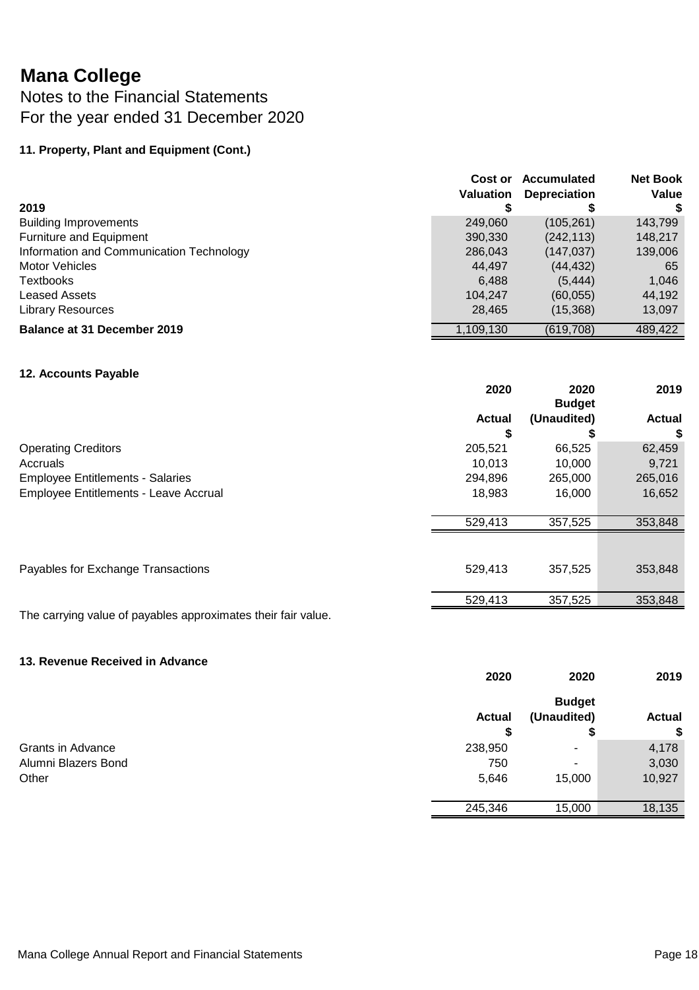### Notes to the Financial Statements For the year ended 31 December 2020

### **11. Property, Plant and Equipment (Cont.)**

|                                          | Cost or<br><b>Valuation</b> | Accumulated<br><b>Depreciation</b> | <b>Net Book</b><br>Value |
|------------------------------------------|-----------------------------|------------------------------------|--------------------------|
| 2019                                     |                             |                                    |                          |
| <b>Building Improvements</b>             | 249,060                     | (105, 261)                         | 143,799                  |
| Furniture and Equipment                  | 390,330                     | (242, 113)                         | 148,217                  |
| Information and Communication Technology | 286,043                     | (147, 037)                         | 139,006                  |
| <b>Motor Vehicles</b>                    | 44,497                      | (44, 432)                          | 65                       |
| <b>Textbooks</b>                         | 6.488                       | (5, 444)                           | 1,046                    |
| Leased Assets                            | 104,247                     | (60, 055)                          | 44,192                   |
| <b>Library Resources</b>                 | 28,465                      | (15,368)                           | 13,097                   |
| Balance at 31 December 2019              | 1,109,130                   | (619, 708)                         | 489,422                  |

#### **12. Accounts Payable**

|                                         | 2020          | 2020<br><b>Budget</b> | 2019          |
|-----------------------------------------|---------------|-----------------------|---------------|
|                                         | <b>Actual</b> | (Unaudited)           | <b>Actual</b> |
|                                         | S             |                       | \$            |
| <b>Operating Creditors</b>              | 205,521       | 66,525                | 62,459        |
| Accruals                                | 10,013        | 10.000                | 9,721         |
| <b>Employee Entitlements - Salaries</b> | 294,896       | 265,000               | 265,016       |
| Employee Entitlements - Leave Accrual   | 18,983        | 16,000                | 16,652        |
|                                         | 529,413       | 357,525               | 353,848       |
|                                         |               |                       |               |
| Payables for Exchange Transactions      | 529,413       | 357,525               | 353,848       |
|                                         | 529,413       | 357,525               | 353,848       |

The carrying value of payables approximates their fair value.

#### **13. Revenue Received in Advance**

|                          | 2020          | 2020          | 2019          |
|--------------------------|---------------|---------------|---------------|
|                          |               | <b>Budget</b> |               |
|                          | <b>Actual</b> | (Unaudited)   | <b>Actual</b> |
|                          | \$            | Ð             | \$            |
| <b>Grants in Advance</b> | 238,950       | ۰             | 4,178         |
| Alumni Blazers Bond      | 750           | ٠             | 3,030         |
| Other                    | 5,646         | 15,000        | 10,927        |
|                          |               |               |               |
|                          | 245,346       | 15,000        | 18,135        |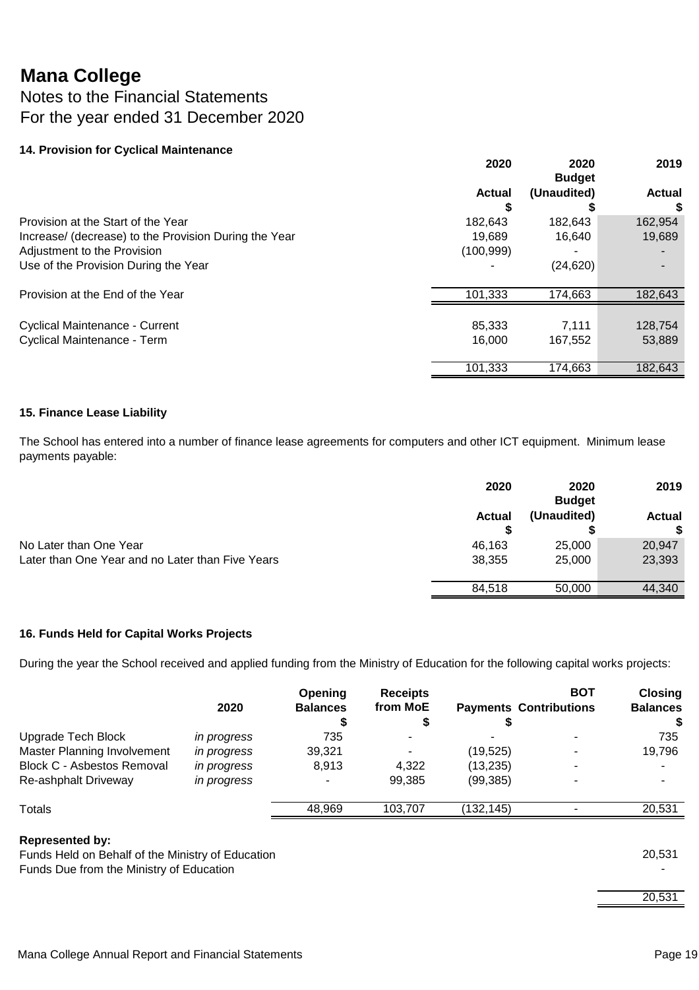### Notes to the Financial Statements For the year ended 31 December 2020

#### **14. Provision for Cyclical Maintenance**

|                                                       | 2020          | 2020<br><b>Budget</b> | 2019          |
|-------------------------------------------------------|---------------|-----------------------|---------------|
|                                                       | <b>Actual</b> | (Unaudited)           | <b>Actual</b> |
|                                                       |               |                       | S             |
| Provision at the Start of the Year                    | 182,643       | 182,643               | 162,954       |
| Increase/ (decrease) to the Provision During the Year | 19.689        | 16,640                | 19,689        |
| Adjustment to the Provision                           | (100, 999)    |                       |               |
| Use of the Provision During the Year                  |               | (24, 620)             |               |
| Provision at the End of the Year                      | 101.333       | 174,663               | 182,643       |
|                                                       |               |                       |               |
| <b>Cyclical Maintenance - Current</b>                 | 85,333        | 7.111                 | 128,754       |
| Cyclical Maintenance - Term                           | 16.000        | 167,552               | 53,889        |
|                                                       | 101,333       | 174,663               | 182,643       |

#### **15. Finance Lease Liability**

The School has entered into a number of finance lease agreements for computers and other ICT equipment. Minimum lease payments payable:

|                                                  | 2020          | 2020<br><b>Budget</b> | 2019          |
|--------------------------------------------------|---------------|-----------------------|---------------|
|                                                  | <b>Actual</b> | (Unaudited)           | <b>Actual</b> |
|                                                  |               |                       | \$            |
| No Later than One Year                           | 46.163        | 25,000                | 20,947        |
| Later than One Year and no Later than Five Years | 38,355        | 25,000                | 23,393        |
|                                                  | 84.518        | 50,000                | 44,340        |

#### **16. Funds Held for Capital Works Projects**

During the year the School received and applied funding from the Ministry of Education for the following capital works projects:

|                                   | 2020        | Opening<br><b>Balances</b> | <b>Receipts</b><br>from MoE |            | <b>BOT</b><br><b>Payments Contributions</b> | <b>Closing</b><br><b>Balances</b><br>S |
|-----------------------------------|-------------|----------------------------|-----------------------------|------------|---------------------------------------------|----------------------------------------|
| Upgrade Tech Block                | in progress | 735                        |                             |            |                                             | 735                                    |
| Master Planning Involvement       | in progress | 39,321                     |                             | (19, 525)  | $\blacksquare$                              | 19,796                                 |
| <b>Block C - Asbestos Removal</b> | in progress | 8,913                      | 4,322                       | (13, 235)  |                                             |                                        |
| Re-ashphalt Driveway              | in progress |                            | 99,385                      | (99, 385)  |                                             |                                        |
| Totals                            |             | 48,969                     | 103,707                     | (132, 145) |                                             | 20,531                                 |

#### **Represented by:**

Funds Held on Behalf of the Ministry of Education 20,531 Funds Due from the Ministry of Education -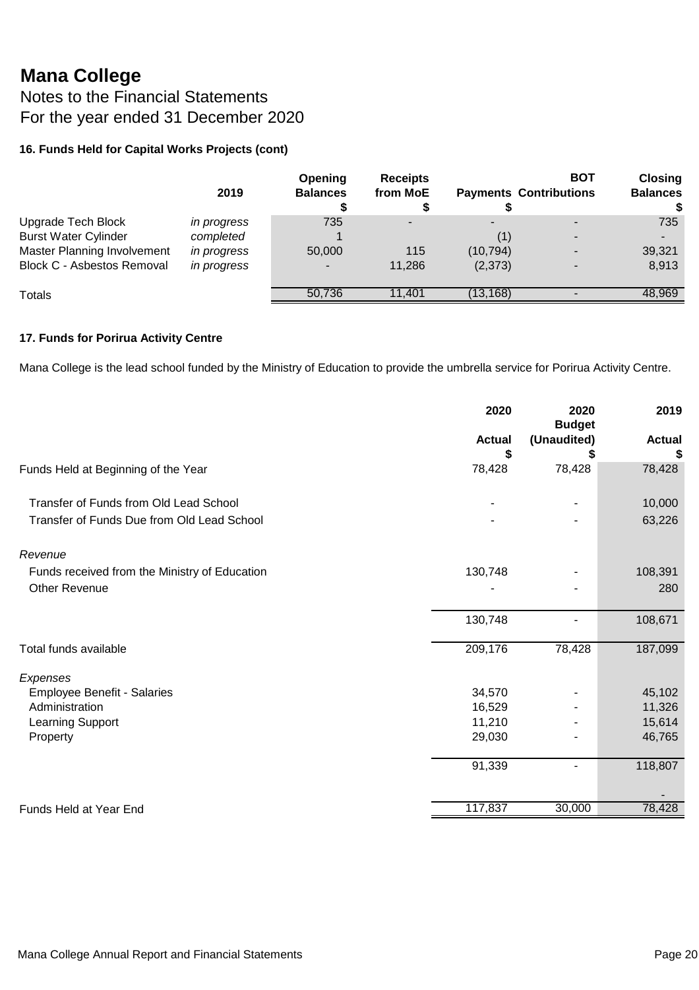Notes to the Financial Statements For the year ended 31 December 2020

#### **16. Funds Held for Capital Works Projects (cont)**

|                                   | 2019               | Opening<br><b>Balances</b> | <b>Receipts</b><br>from MoE |           | BOT<br><b>Payments Contributions</b> | <b>Closing</b><br><b>Balances</b> |
|-----------------------------------|--------------------|----------------------------|-----------------------------|-----------|--------------------------------------|-----------------------------------|
| Upgrade Tech Block                | <i>in progress</i> | 735                        |                             |           |                                      | 735                               |
| <b>Burst Water Cylinder</b>       | completed          |                            |                             | (1)       |                                      | $\overline{\phantom{a}}$          |
| Master Planning Involvement       | <i>in progress</i> | 50,000                     | 115                         | (10, 794) |                                      | 39,321                            |
| <b>Block C - Asbestos Removal</b> | in progress        |                            | 11,286                      | (2,373)   |                                      | 8,913                             |
| Totals                            |                    | 50,736                     | 11.401                      | (13.168)  |                                      | 48,969                            |

#### **17. Funds for Porirua Activity Centre**

Mana College is the lead school funded by the Ministry of Education to provide the umbrella service for Porirua Activity Centre.

|                                               | 2020          | 2020<br><b>Budget</b> | 2019          |
|-----------------------------------------------|---------------|-----------------------|---------------|
|                                               | <b>Actual</b> | (Unaudited)           | <b>Actual</b> |
|                                               | \$            |                       | S             |
| Funds Held at Beginning of the Year           | 78,428        | 78,428                | 78,428        |
| Transfer of Funds from Old Lead School        |               |                       | 10,000        |
| Transfer of Funds Due from Old Lead School    |               |                       | 63,226        |
| Revenue                                       |               |                       |               |
| Funds received from the Ministry of Education | 130,748       |                       | 108,391       |
| Other Revenue                                 |               |                       | 280           |
|                                               | 130,748       |                       | 108,671       |
| Total funds available                         | 209,176       | 78,428                | 187,099       |
| Expenses                                      |               |                       |               |
| <b>Employee Benefit - Salaries</b>            | 34,570        |                       | 45,102        |
| Administration                                | 16,529        |                       | 11,326        |
| Learning Support                              | 11,210        |                       | 15,614        |
| Property                                      | 29,030        |                       | 46,765        |
|                                               | 91,339        |                       | 118,807       |
|                                               |               |                       |               |
| <b>Funds Held at Year End</b>                 | 117,837       | 30,000                | 78,428        |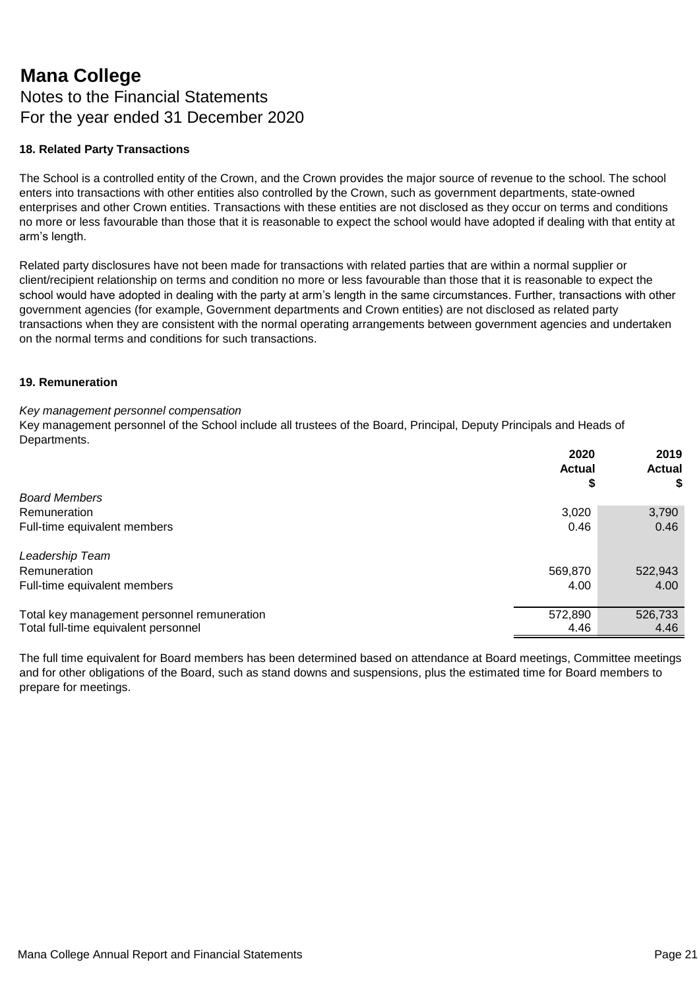### **Mana College** Notes to the Financial Statements For the year ended 31 December 2020

#### **18. Related Party Transactions**

The School is a controlled entity of the Crown, and the Crown provides the major source of revenue to the school. The school enters into transactions with other entities also controlled by the Crown, such as government departments, state-owned enterprises and other Crown entities. Transactions with these entities are not disclosed as they occur on terms and conditions no more or less favourable than those that it is reasonable to expect the school would have adopted if dealing with that entity at arm's length.

Related party disclosures have not been made for transactions with related parties that are within a normal supplier or client/recipient relationship on terms and condition no more or less favourable than those that it is reasonable to expect the school would have adopted in dealing with the party at arm's length in the same circumstances. Further, transactions with other government agencies (for example, Government departments and Crown entities) are not disclosed as related party transactions when they are consistent with the normal operating arrangements between government agencies and undertaken on the normal terms and conditions for such transactions.

#### **19. Remuneration**

#### *Key management personnel compensation*

Key management personnel of the School include all trustees of the Board, Principal, Deputy Principals and Heads of Departments.

|                                             | 2020<br><b>Actual</b> | 2019<br><b>Actual</b> |
|---------------------------------------------|-----------------------|-----------------------|
|                                             | \$                    | \$                    |
| <b>Board Members</b>                        |                       |                       |
| Remuneration                                | 3,020                 | 3,790                 |
| Full-time equivalent members                | 0.46                  | 0.46                  |
| Leadership Team                             |                       |                       |
| Remuneration                                | 569,870               | 522,943               |
| Full-time equivalent members                | 4.00                  | 4.00                  |
| Total key management personnel remuneration | 572,890               | 526,733               |
| Total full-time equivalent personnel        | 4.46                  | 4.46                  |

The full time equivalent for Board members has been determined based on attendance at Board meetings, Committee meetings and for other obligations of the Board, such as stand downs and suspensions, plus the estimated time for Board members to prepare for meetings.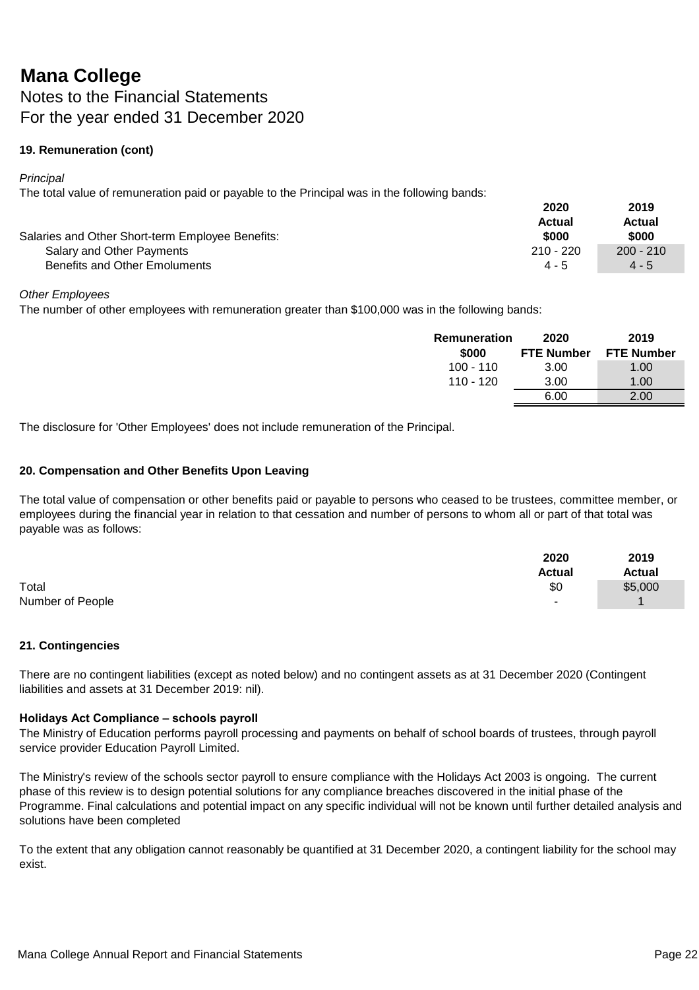### **Mana College** Notes to the Financial Statements For the year ended 31 December 2020

#### **19. Remuneration (cont)**

*Principal* 

The total value of remuneration paid or payable to the Principal was in the following bands:

|                                                  | 2020        | 2019        |
|--------------------------------------------------|-------------|-------------|
|                                                  | Actual      | Actual      |
| Salaries and Other Short-term Employee Benefits: | \$000       | \$000       |
| Salary and Other Payments                        | $210 - 220$ | $200 - 210$ |
| Benefits and Other Emoluments                    | $4 - 5$     | $4 - 5$     |

#### *Other Employees*

The number of other employees with remuneration greater than \$100,000 was in the following bands:

| Remuneration<br>\$000 | 2020<br><b>FTE Number</b> | 2019<br><b>FTE Number</b> |
|-----------------------|---------------------------|---------------------------|
| $100 - 110$           | 3.00                      | 1.00                      |
| 110 - 120             | 3.00                      | 1.00                      |
|                       | 6.00                      | 2.00                      |

The disclosure for 'Other Employees' does not include remuneration of the Principal.

#### **20. Compensation and Other Benefits Upon Leaving**

The total value of compensation or other benefits paid or payable to persons who ceased to be trustees, committee member, or employees during the financial year in relation to that cessation and number of persons to whom all or part of that total was payable was as follows:

|                  | 2020          | 2019          |
|------------------|---------------|---------------|
|                  | <b>Actual</b> | <b>Actual</b> |
| Total            | \$0           | \$5,000       |
| Number of People | ۰             |               |

#### **21. Contingencies**

There are no contingent liabilities (except as noted below) and no contingent assets as at 31 December 2020 (Contingent liabilities and assets at 31 December 2019: nil).

#### **Holidays Act Compliance – schools payroll**

The Ministry of Education performs payroll processing and payments on behalf of school boards of trustees, through payroll service provider Education Payroll Limited.

The Ministry's review of the schools sector payroll to ensure compliance with the Holidays Act 2003 is ongoing. The current phase of this review is to design potential solutions for any compliance breaches discovered in the initial phase of the Programme. Final calculations and potential impact on any specific individual will not be known until further detailed analysis and solutions have been completed

To the extent that any obligation cannot reasonably be quantified at 31 December 2020, a contingent liability for the school may exist.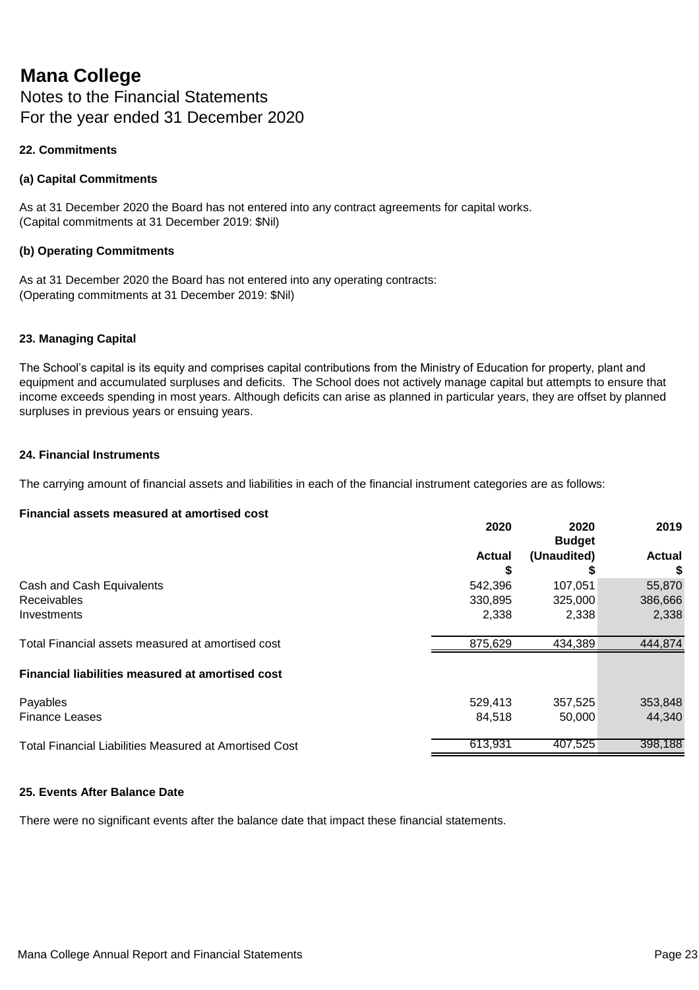Notes to the Financial Statements For the year ended 31 December 2020

#### **22. Commitments**

#### **(a) Capital Commitments**

As at 31 December 2020 the Board has not entered into any contract agreements for capital works. (Capital commitments at 31 December 2019: \$Nil)

#### **(b) Operating Commitments**

As at 31 December 2020 the Board has not entered into any operating contracts: (Operating commitments at 31 December 2019: \$Nil)

#### **23. Managing Capital**

The School's capital is its equity and comprises capital contributions from the Ministry of Education for property, plant and equipment and accumulated surpluses and deficits. The School does not actively manage capital but attempts to ensure that income exceeds spending in most years. Although deficits can arise as planned in particular years, they are offset by planned surpluses in previous years or ensuing years.

#### **24. Financial Instruments**

The carrying amount of financial assets and liabilities in each of the financial instrument categories are as follows:

#### **Financial assets measured at amortised cost**

|                                                         | 2020          | 2020<br><b>Budget</b> | 2019          |
|---------------------------------------------------------|---------------|-----------------------|---------------|
|                                                         | <b>Actual</b> | (Unaudited)           | <b>Actual</b> |
|                                                         |               |                       | \$            |
| Cash and Cash Equivalents                               | 542,396       | 107.051               | 55,870        |
| Receivables                                             | 330,895       | 325,000               | 386,666       |
| Investments                                             | 2,338         | 2,338                 | 2,338         |
| Total Financial assets measured at amortised cost       | 875,629       | 434,389               | 444,874       |
| <b>Financial liabilities measured at amortised cost</b> |               |                       |               |
| Payables                                                | 529,413       | 357,525               | 353,848       |
| <b>Finance Leases</b>                                   | 84.518        | 50,000                | 44,340        |
| Total Financial Liabilities Measured at Amortised Cost  | 613,931       | 407,525               | 398,188       |

#### **25. Events After Balance Date**

There were no significant events after the balance date that impact these financial statements.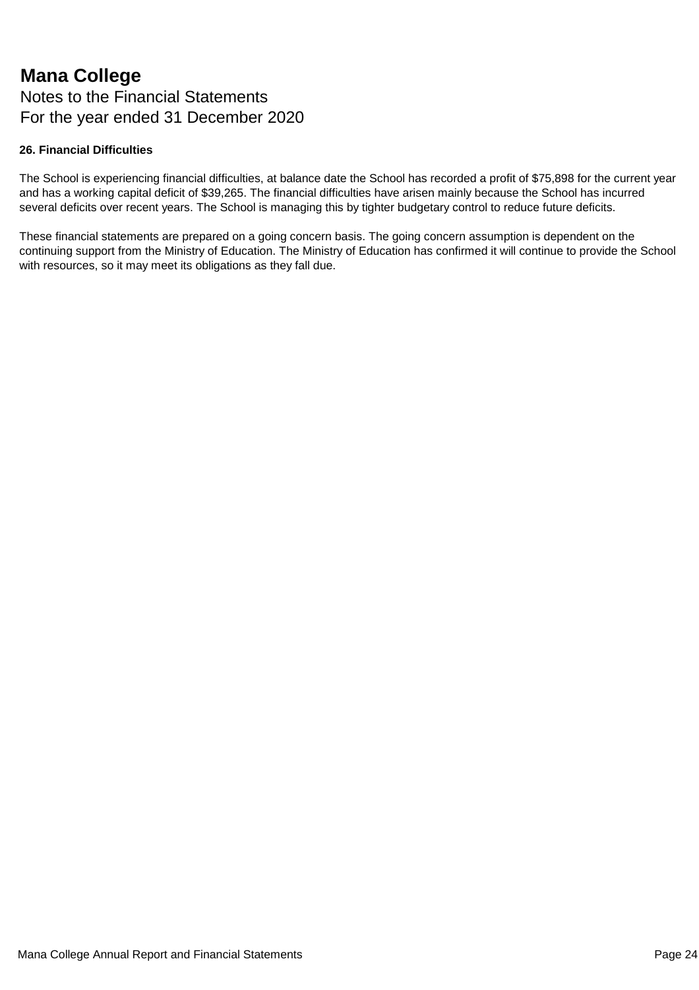### **Mana College** Notes to the Financial Statements For the year ended 31 December 2020

#### **26. Financial Difficulties**

The School is experiencing financial difficulties, at balance date the School has recorded a profit of \$75,898 for the current year and has a working capital deficit of \$39,265. The financial difficulties have arisen mainly because the School has incurred several deficits over recent years. The School is managing this by tighter budgetary control to reduce future deficits.

These financial statements are prepared on a going concern basis. The going concern assumption is dependent on the continuing support from the Ministry of Education. The Ministry of Education has confirmed it will continue to provide the School with resources, so it may meet its obligations as they fall due.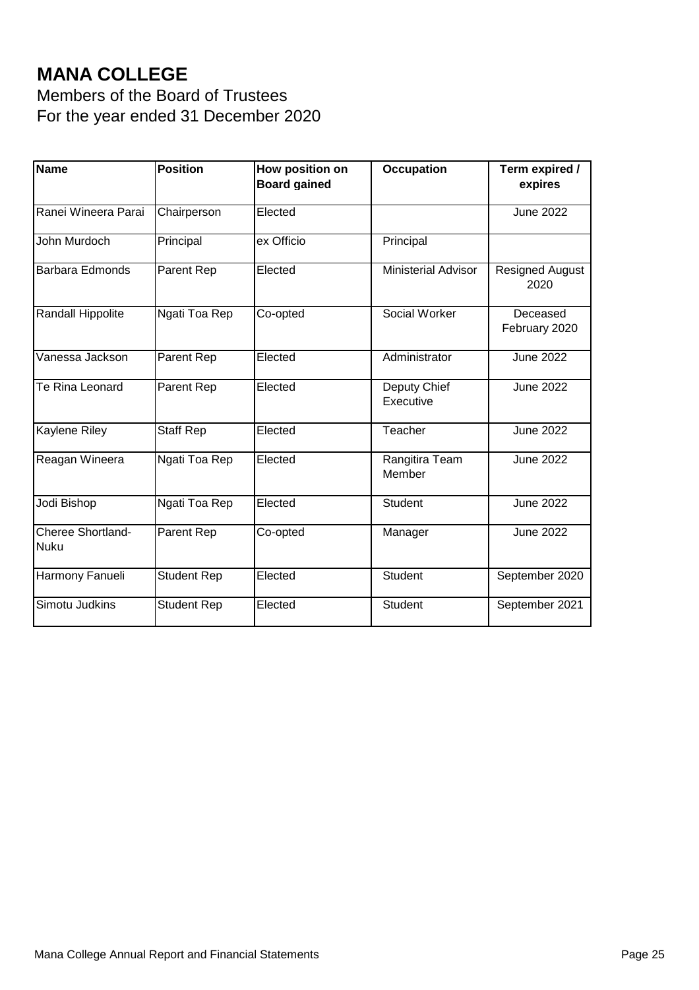# **MANA COLLEGE**

Members of the Board of Trustees For the year ended 31 December 2020

| Name                             | <b>Position</b>    | How position on<br><b>Board gained</b> | <b>Occupation</b>          | Term expired /<br>expires      |
|----------------------------------|--------------------|----------------------------------------|----------------------------|--------------------------------|
| Ranei Wineera Parai              | Chairperson        | Elected                                |                            | <b>June 2022</b>               |
| John Murdoch                     | Principal          | ex Officio                             | Principal                  |                                |
| <b>Barbara Edmonds</b>           | Parent Rep         | Elected                                | <b>Ministerial Advisor</b> | <b>Resigned August</b><br>2020 |
| Randall Hippolite                | Ngati Toa Rep      | Co-opted                               | Social Worker              | Deceased<br>February 2020      |
| Vanessa Jackson                  | Parent Rep         | Elected                                | Administrator              | <b>June 2022</b>               |
| Te Rina Leonard                  | Parent Rep         | Elected                                | Deputy Chief<br>Executive  | <b>June 2022</b>               |
| <b>Kaylene Riley</b>             | <b>Staff Rep</b>   | Elected                                | Teacher                    | <b>June 2022</b>               |
| Reagan Wineera                   | Ngati Toa Rep      | Elected                                | Rangitira Team<br>Member   | <b>June 2022</b>               |
| Jodi Bishop                      | Ngati Toa Rep      | Elected                                | <b>Student</b>             | <b>June 2022</b>               |
| Cheree Shortland-<br><b>Nuku</b> | Parent Rep         | Co-opted                               | Manager                    | <b>June 2022</b>               |
| Harmony Fanueli                  | <b>Student Rep</b> | Elected                                | <b>Student</b>             | September 2020                 |
| Simotu Judkins                   | <b>Student Rep</b> | Elected                                | Student                    | September 2021                 |